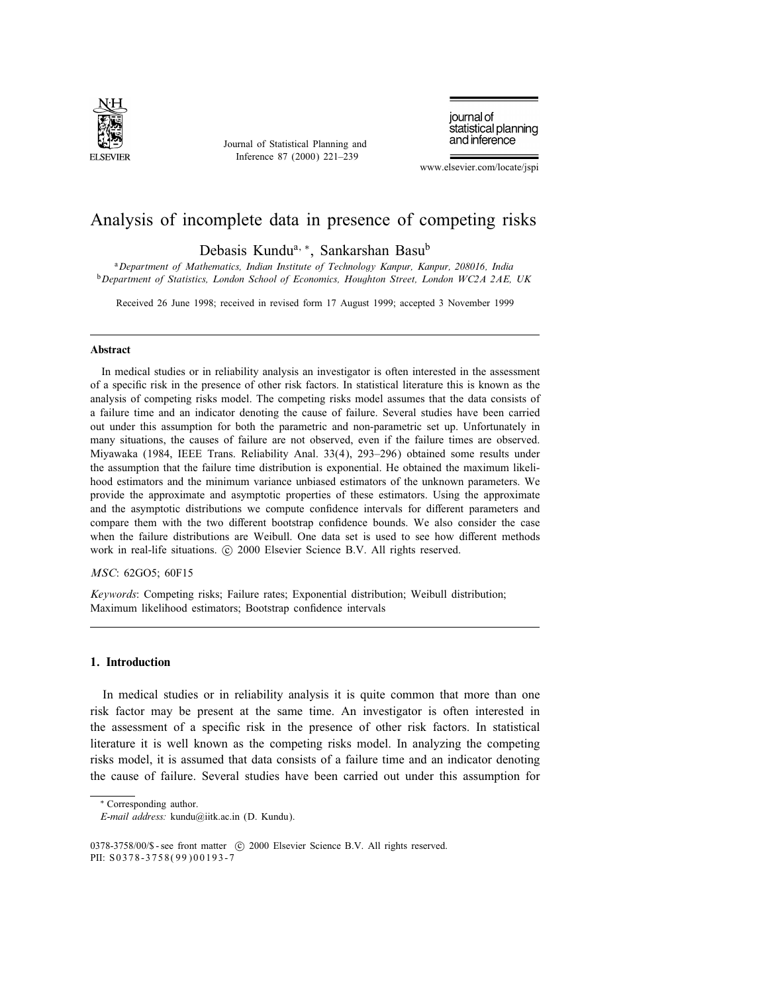

Journal of Statistical Planning and Inference 87 (2000) 221–239

journal of statistical planning and inference

www.elsevier.com/locate/jspi

# Analysis of incomplete data in presence of competing risks

Debasis Kundu<sup>a, ∗</sup>, Sankarshan Basu<sup>b</sup>

<sup>a</sup>Department of Mathematics, Indian Institute of Technology Kanpur, Kanpur, 208016, India **b** Department of Statistics, London School of Economics, Houghton Street, London WC2A 2AE, UK

Received 26 June 1998; received in revised form 17 August 1999; accepted 3 November 1999

## Abstract

In medical studies or in reliability analysis an investigator is often interested in the assessment of a specic risk in the presence of other risk factors. In statistical literature this is known as the analysis of competing risks model. The competing risks model assumes that the data consists of a failure time and an indicator denoting the cause of failure. Several studies have been carried out under this assumption for both the parametric and non-parametric set up. Unfortunately in many situations, the causes of failure are not observed, even if the failure times are observed. Miyawaka (1984, IEEE Trans. Reliability Anal. 33(4), 293–296) obtained some results under the assumption that the failure time distribution is exponential. He obtained the maximum likelihood estimators and the minimum variance unbiased estimators of the unknown parameters. We provide the approximate and asymptotic properties of these estimators. Using the approximate and the asymptotic distributions we compute confidence intervals for different parameters and compare them with the two different bootstrap confidence bounds. We also consider the case when the failure distributions are Weibull. One data set is used to see how different methods work in real-life situations. © 2000 Elsevier Science B.V. All rights reserved.

## MSC: 62GO5; 60F15

Keywords: Competing risks; Failure rates; Exponential distribution; Weibull distribution; Maximum likelihood estimators; Bootstrap confidence intervals

# 1. Introduction

In medical studies or in reliability analysis it is quite common that more than one risk factor may be present at the same time. An investigator is often interested in the assessment of a specific risk in the presence of other risk factors. In statistical literature it is well known as the competing risks model. In analyzing the competing risks model, it is assumed that data consists of a failure time and an indicator denoting the cause of failure. Several studies have been carried out under this assumption for

∗ Corresponding author.

E-mail address: kundu@iitk.ac.in (D. Kundu).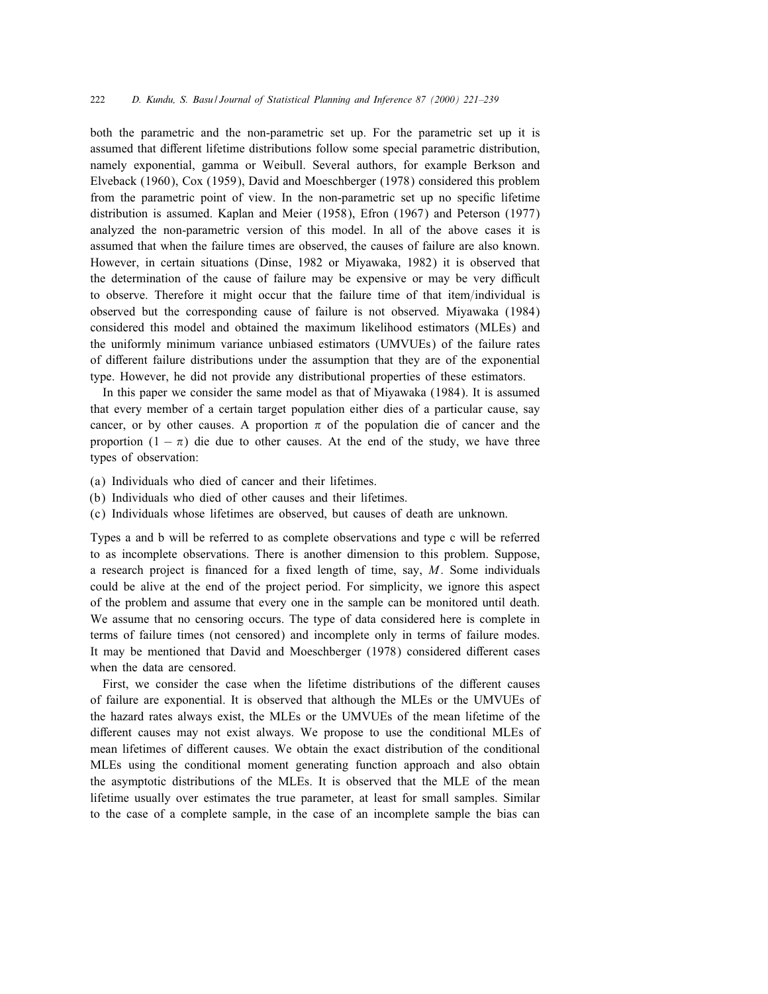both the parametric and the non-parametric set up. For the parametric set up it is assumed that different lifetime distributions follow some special parametric distribution, namely exponential, gamma or Weibull. Several authors, for example Berkson and Elveback (1960), Cox (1959), David and Moeschberger (1978) considered this problem from the parametric point of view. In the non-parametric set up no specific lifetime distribution is assumed. Kaplan and Meier (1958), Efron (1967) and Peterson (1977) analyzed the non-parametric version of this model. In all of the above cases it is assumed that when the failure times are observed, the causes of failure are also known. However, in certain situations (Dinse, 1982 or Miyawaka, 1982) it is observed that the determination of the cause of failure may be expensive or may be very difficult to observe. Therefore it might occur that the failure time of that item/individual is observed but the corresponding cause of failure is not observed. Miyawaka (1984) considered this model and obtained the maximum likelihood estimators (MLEs) and the uniformly minimum variance unbiased estimators (UMVUEs) of the failure rates of different failure distributions under the assumption that they are of the exponential type. However, he did not provide any distributional properties of these estimators.

In this paper we consider the same model as that of Miyawaka (1984). It is assumed that every member of a certain target population either dies of a particular cause, say cancer, or by other causes. A proportion  $\pi$  of the population die of cancer and the proportion  $(1 - \pi)$  die due to other causes. At the end of the study, we have three types of observation:

- (a) Individuals who died of cancer and their lifetimes.
- (b) Individuals who died of other causes and their lifetimes.
- (c) Individuals whose lifetimes are observed, but causes of death are unknown.

Types a and b will be referred to as complete observations and type c will be referred to as incomplete observations. There is another dimension to this problem. Suppose, a research project is financed for a fixed length of time, say,  $M$ . Some individuals could be alive at the end of the project period. For simplicity, we ignore this aspect of the problem and assume that every one in the sample can be monitored until death. We assume that no censoring occurs. The type of data considered here is complete in terms of failure times (not censored) and incomplete only in terms of failure modes. It may be mentioned that David and Moeschberger (1978) considered different cases when the data are censored.

First, we consider the case when the lifetime distributions of the different causes of failure are exponential. It is observed that although the MLEs or the UMVUEs of the hazard rates always exist, the MLEs or the UMVUEs of the mean lifetime of the different causes may not exist always. We propose to use the conditional MLEs of mean lifetimes of different causes. We obtain the exact distribution of the conditional MLEs using the conditional moment generating function approach and also obtain the asymptotic distributions of the MLEs. It is observed that the MLE of the mean lifetime usually over estimates the true parameter, at least for small samples. Similar to the case of a complete sample, in the case of an incomplete sample the bias can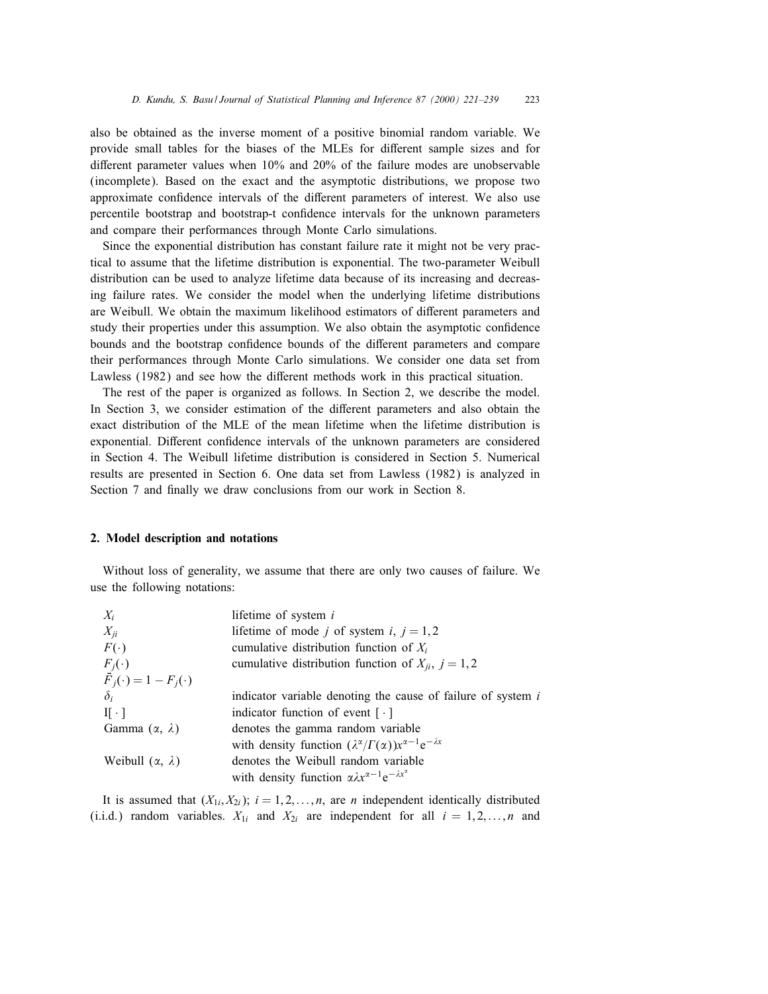also be obtained as the inverse moment of a positive binomial random variable. We provide small tables for the biases of the MLEs for different sample sizes and for different parameter values when  $10\%$  and  $20\%$  of the failure modes are unobservable (incomplete). Based on the exact and the asymptotic distributions, we propose two approximate confidence intervals of the different parameters of interest. We also use percentile bootstrap and bootstrap-t condence intervals for the unknown parameters and compare their performances through Monte Carlo simulations.

Since the exponential distribution has constant failure rate it might not be very practical to assume that the lifetime distribution is exponential. The two-parameter Weibull distribution can be used to analyze lifetime data because of its increasing and decreasing failure rates. We consider the model when the underlying lifetime distributions are Weibull. We obtain the maximum likelihood estimators of different parameters and study their properties under this assumption. We also obtain the asymptotic confidence bounds and the bootstrap confidence bounds of the different parameters and compare their performances through Monte Carlo simulations. We consider one data set from Lawless (1982) and see how the different methods work in this practical situation.

The rest of the paper is organized as follows. In Section 2, we describe the model. In Section 3, we consider estimation of the different parameters and also obtain the exact distribution of the MLE of the mean lifetime when the lifetime distribution is exponential. Different confidence intervals of the unknown parameters are considered in Section 4. The Weibull lifetime distribution is considered in Section 5. Numerical results are presented in Section 6. One data set from Lawless (1982) is analyzed in Section 7 and finally we draw conclusions from our work in Section 8.

# 2. Model description and notations

Without loss of generality, we assume that there are only two causes of failure. We use the following notations:

| $X_i$                                    | lifetime of system $i$                                                              |
|------------------------------------------|-------------------------------------------------------------------------------------|
| $X_{ii}$                                 | lifetime of mode j of system i, $j = 1, 2$                                          |
| $F(\cdot)$                               | cumulative distribution function of $X_i$                                           |
| $F_j(\cdot)$                             | cumulative distribution function of $X_{ii}$ , $j = 1, 2$                           |
| $\overline{F}_j(\cdot) = 1 - F_j(\cdot)$ |                                                                                     |
| $\delta_i$                               | indicator variable denoting the cause of failure of system i                        |
| $\text{II} \cdot \text{I}$               | indicator function of event $\lceil \cdot \rceil$                                   |
| Gamma $(\alpha, \lambda)$                | denotes the gamma random variable                                                   |
|                                          | with density function $(\lambda^{\alpha}/\Gamma(\alpha))x^{\alpha-1}e^{-\lambda x}$ |
| Weibull $(\alpha, \lambda)$              | denotes the Weibull random variable                                                 |
|                                          | with density function $\alpha \lambda x^{\alpha - 1} e^{-\lambda x^{\alpha}}$       |

It is assumed that  $(X_{1i}, X_{2i})$ ;  $i = 1, 2, \ldots, n$ , are *n* independent identically distributed (i.i.d.) random variables.  $X_{1i}$  and  $X_{2i}$  are independent for all  $i = 1, 2, ..., n$  and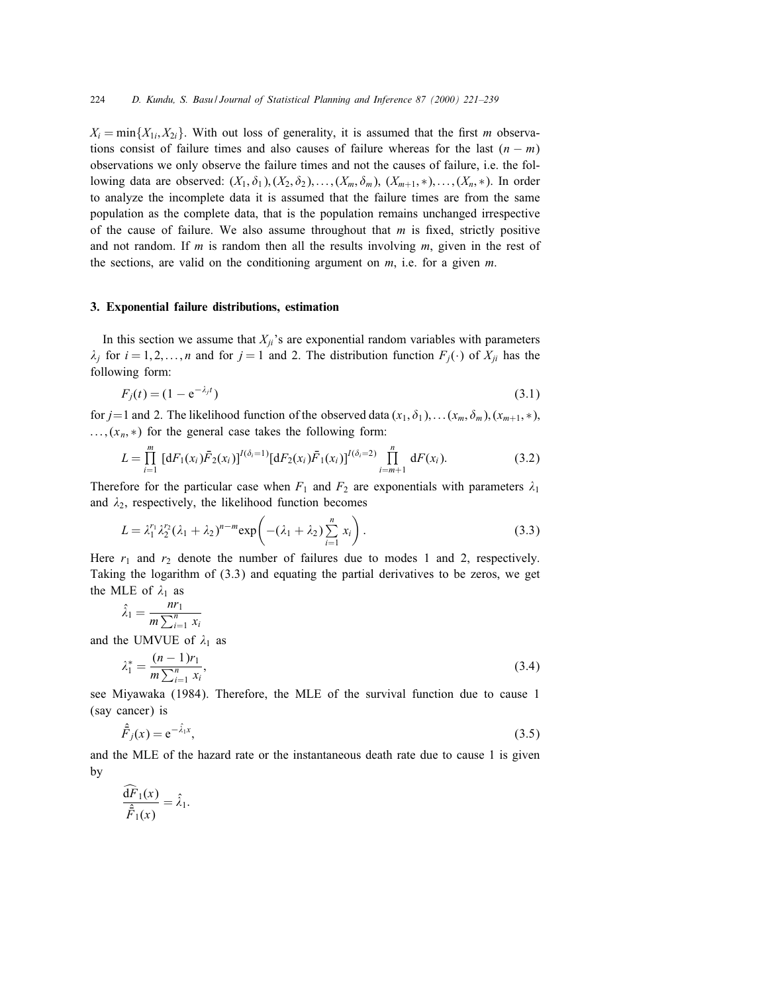$X_i = \min\{X_{1i}, X_{2i}\}\$ . With out loss of generality, it is assumed that the first m observations consist of failure times and also causes of failure whereas for the last  $(n - m)$ observations we only observe the failure times and not the causes of failure, i.e. the following data are observed:  $(X_1, \delta_1), (X_2, \delta_2), \ldots, (X_m, \delta_m), (X_{m+1}, \ast), \ldots, (X_n, \ast)$ . In order to analyze the incomplete data it is assumed that the failure times are from the same population as the complete data, that is the population remains unchanged irrespective of the cause of failure. We also assume throughout that  $m$  is fixed, strictly positive and not random. If m is random then all the results involving  $m$ , given in the rest of the sections, are valid on the conditioning argument on  $m$ , i.e. for a given  $m$ .

### 3. Exponential failure distributions, estimation

In this section we assume that  $X_{ji}$ 's are exponential random variables with parameters  $\lambda_i$  for  $i = 1, 2, \ldots, n$  and for  $j = 1$  and 2. The distribution function  $F_j(\cdot)$  of  $X_{ji}$  has the following form:

$$
F_j(t) = (1 - e^{-\lambda_j t})
$$
\n(3.1)

for  $j=1$  and 2. The likelihood function of the observed data  $(x_1, \delta_1), \ldots (x_m, \delta_m), (x_{m+1}, *)$ ;  $\ldots$ ,  $(x_n, *)$  for the general case takes the following form:

$$
L = \prod_{i=1}^{m} \left[ dF_1(x_i) \bar{F}_2(x_i) \right]^{I(\delta_i=1)} \left[ dF_2(x_i) \bar{F}_1(x_i) \right]^{I(\delta_i=2)} \prod_{i=m+1}^{n} dF(x_i). \tag{3.2}
$$

Therefore for the particular case when  $F_1$  and  $F_2$  are exponentials with parameters  $\lambda_1$ and  $\lambda_2$ , respectively, the likelihood function becomes

$$
L = \lambda_1^{r_1} \lambda_2^{r_2} (\lambda_1 + \lambda_2)^{n-m} \exp\left(-(\lambda_1 + \lambda_2) \sum_{i=1}^n x_i\right).
$$
 (3.3)

Here  $r_1$  and  $r_2$  denote the number of failures due to modes 1 and 2, respectively. Taking the logarithm of (3.3) and equating the partial derivatives to be zeros, we get the MLE of  $\lambda_1$  as

$$
\hat{\lambda}_1 = \frac{nr_1}{m \sum_{i=1}^n x_i}
$$
  
and the UMVUE of  $\lambda_1$  as

$$
\lambda_1^* = \frac{(n-1)r_1}{m \sum_{i=1}^n x_i},\tag{3.4}
$$

see Miyawaka (1984). Therefore, the MLE of the survival function due to cause 1 (say cancer) is

$$
\hat{\vec{F}}_j(x) = e^{-\hat{\lambda}_1 x},\tag{3.5}
$$

and the MLE of the hazard rate or the instantaneous death rate due to cause 1 is given by

$$
\frac{\widehat{\mathrm{d}F}_1(x)}{\widehat{\bar{F}}_1(x)} = \widehat{\lambda}_1.
$$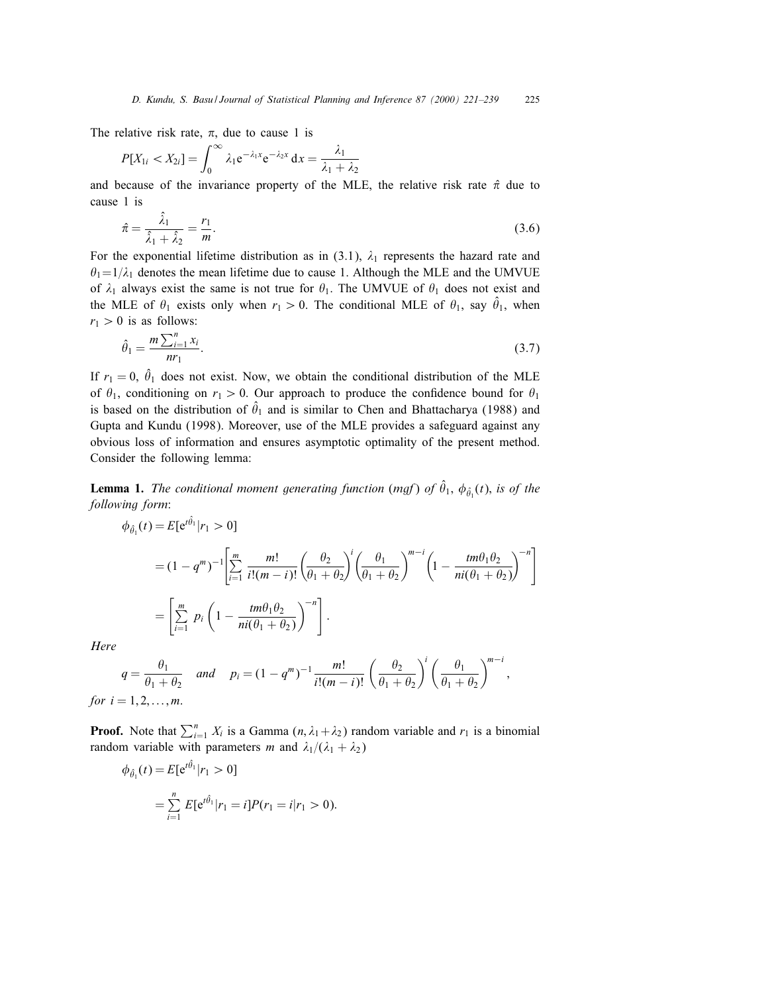The relative risk rate,  $\pi$ , due to cause 1 is

$$
P[X_{1i} < X_{2i}] = \int_0^\infty \lambda_1 e^{-\lambda_1 x} e^{-\lambda_2 x} dx = \frac{\lambda_1}{\lambda_1 + \lambda_2}
$$

and because of the invariance property of the MLE, the relative risk rate  $\hat{\pi}$  due to cause 1 is

$$
\hat{\pi} = \frac{\hat{\lambda}_1}{\hat{\lambda}_1 + \hat{\lambda}_2} = \frac{r_1}{m}.\tag{3.6}
$$

For the exponential lifetime distribution as in (3.1),  $\lambda_1$  represents the hazard rate and  $\theta_1=1/\lambda_1$  denotes the mean lifetime due to cause 1. Although the MLE and the UMVUE of  $\lambda_1$  always exist the same is not true for  $\theta_1$ . The UMVUE of  $\theta_1$  does not exist and the MLE of  $\theta_1$  exists only when  $r_1 > 0$ . The conditional MLE of  $\theta_1$ , say  $\hat{\theta}_1$ , when  $r_1 > 0$  is as follows:

$$
\hat{\theta}_1 = \frac{m \sum_{i=1}^n x_i}{nr_1}.
$$
\n(3.7)

If  $r_1 = 0$ ,  $\hat{\theta}_1$  does not exist. Now, we obtain the conditional distribution of the MLE of  $\theta_1$ , conditioning on  $r_1 > 0$ . Our approach to produce the confidence bound for  $\theta_1$ is based on the distribution of  $\hat{\theta}_1$  and is similar to Chen and Bhattacharya (1988) and Gupta and Kundu (1998). Moreover, use of the MLE provides a safeguard against any obvious loss of information and ensures asymptotic optimality of the present method. Consider the following lemma:

**Lemma 1.** The conditional moment generating function (mgf) of  $\hat{\theta}_1$ ,  $\phi_{\hat{\theta_1}}(t)$ , is of the following form:

$$
\phi_{\hat{\theta}_1}(t) = E[e^{t\hat{\theta}_1}|r_1 > 0]
$$
\n
$$
= (1 - q^m)^{-1} \left[ \sum_{i=1}^m \frac{m!}{i!(m-i)!} \left( \frac{\theta_2}{\theta_1 + \theta_2} \right)^i \left( \frac{\theta_1}{\theta_1 + \theta_2} \right)^{m-i} \left( 1 - \frac{tm\theta_1\theta_2}{ni(\theta_1 + \theta_2)} \right)^{-n} \right]
$$
\n
$$
= \left[ \sum_{i=1}^m p_i \left( 1 - \frac{tm\theta_1\theta_2}{ni(\theta_1 + \theta_2)} \right)^{-n} \right].
$$

Here

$$
q = \frac{\theta_1}{\theta_1 + \theta_2} \quad and \quad p_i = (1 - q^m)^{-1} \frac{m!}{i!(m - i)!} \left(\frac{\theta_2}{\theta_1 + \theta_2}\right)^i \left(\frac{\theta_1}{\theta_1 + \theta_2}\right)^{m - i},
$$
  
for  $i = 1, 2, ..., m$ .

**Proof.** Note that  $\sum_{i=1}^{n} X_i$  is a Gamma  $(n, \lambda_1 + \lambda_2)$  random variable and  $r_1$  is a binomial random variable with parameters m and  $\lambda_1/(\lambda_1 + \lambda_2)$ 

$$
\phi_{\hat{\theta}_1}(t) = E[e^{t\hat{\theta}_1}|r_1 > 0]
$$
  
= 
$$
\sum_{i=1}^n E[e^{t\hat{\theta}_1}|r_1 = i]P(r_1 = i|r_1 > 0).
$$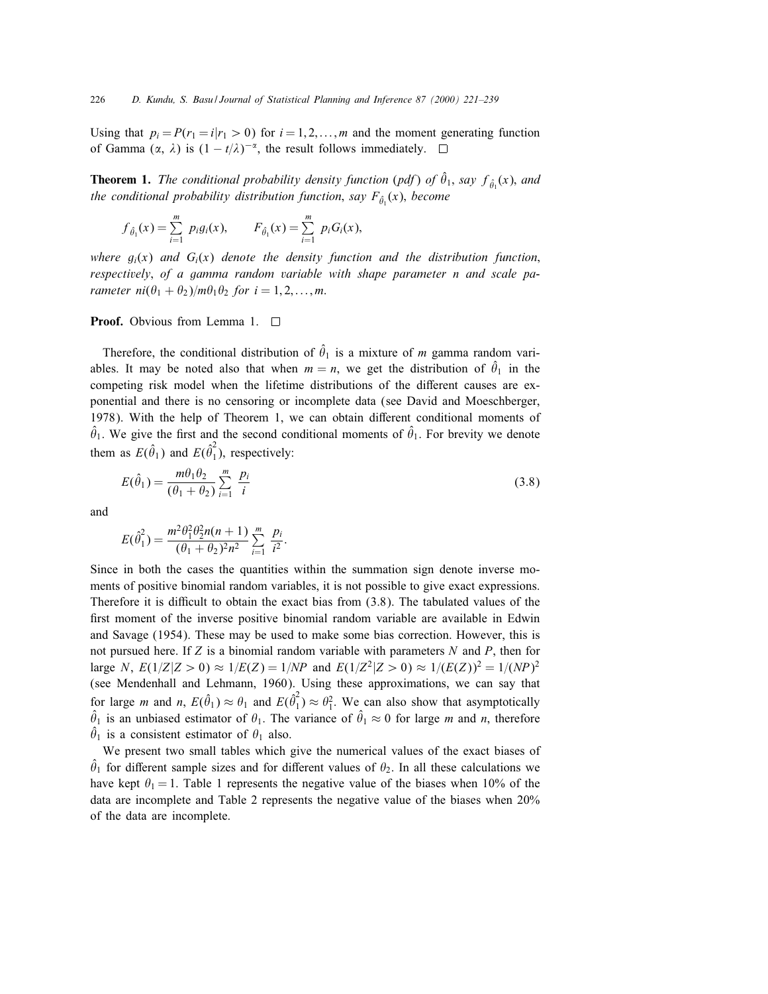Using that  $p_i = P(r_1 = i | r_1 > 0)$  for  $i = 1, 2, ..., m$  and the moment generating function of Gamma  $(\alpha, \lambda)$  is  $(1 - t/\lambda)^{-\alpha}$ , the result follows immediately.  $\square$ 

**Theorem 1.** The conditional probability density function (pdf) of  $\hat{\theta}_1$ , say  $f_{\hat{\theta}_1}(x)$ , and the conditional probability distribution function, say  $F_{\hat{\theta_1}}(x)$ , become

$$
f_{\hat{\theta}_1}(x) = \sum_{i=1}^m p_i g_i(x), \qquad F_{\hat{\theta}_1}(x) = \sum_{i=1}^m p_i G_i(x),
$$

where  $g_i(x)$  and  $G_i(x)$  denote the density function and the distribution function, respectively; of a gamma random variable with shape parameter n and scale parameter  $ni(\theta_1 + \theta_2)/m\theta_1\theta_2$  for  $i = 1, 2, \ldots, m$ .

**Proof.** Obvious from Lemma 1. □

Therefore, the conditional distribution of  $\hat{\theta}_1$  is a mixture of m gamma random variables. It may be noted also that when  $m = n$ , we get the distribution of  $\hat{\theta}_1$  in the competing risk model when the lifetime distributions of the different causes are exponential and there is no censoring or incomplete data (see David and Moeschberger, 1978). With the help of Theorem 1, we can obtain different conditional moments of  $\hat{\theta}_1$ . We give the first and the second conditional moments of  $\hat{\theta}_1$ . For brevity we denote them as  $E(\hat{\theta}_1)$  and  $E(\hat{\theta}_1^2)$ , respectively:

$$
E(\hat{\theta}_1) = \frac{m\theta_1\theta_2}{(\theta_1 + \theta_2)} \sum_{i=1}^m \frac{p_i}{i}
$$
 (3.8)

and

$$
E(\hat{\theta}_1^2) = \frac{m^2 \theta_1^2 \theta_2^2 n(n+1)}{(\theta_1 + \theta_2)^2 n^2} \sum_{i=1}^m \frac{p_i}{i^2}.
$$

Since in both the cases the quantities within the summation sign denote inverse moments of positive binomial random variables, it is not possible to give exact expressions. Therefore it is difficult to obtain the exact bias from  $(3.8)$ . The tabulated values of the first moment of the inverse positive binomial random variable are available in Edwin and Savage (1954). These may be used to make some bias correction. However, this is not pursued here. If  $Z$  is a binomial random variable with parameters  $N$  and  $P$ , then for large N,  $E(1/Z|Z > 0) \approx 1/E(Z) = 1/NP$  and  $E(1/Z^2|Z > 0) \approx 1/(E(Z))^2 = 1/(NP)^2$ (see Mendenhall and Lehmann, 1960). Using these approximations, we can say that for large *m* and *n*,  $E(\hat{\theta}_1) \approx \theta_1$  and  $E(\hat{\theta}_1^2) \approx \theta_1^2$ . We can also show that asymptotically  $\hat{\theta}_1$  is an unbiased estimator of  $\theta_1$ . The variance of  $\hat{\theta}_1 \approx 0$  for large m and n, therefore  $\hat{\theta}_1$  is a consistent estimator of  $\theta_1$  also.

We present two small tables which give the numerical values of the exact biases of  $\hat{\theta}_1$  for different sample sizes and for different values of  $\theta_2$ . In all these calculations we have kept  $\theta_1 = 1$ . Table 1 represents the negative value of the biases when 10% of the data are incomplete and Table 2 represents the negative value of the biases when 20% of the data are incomplete.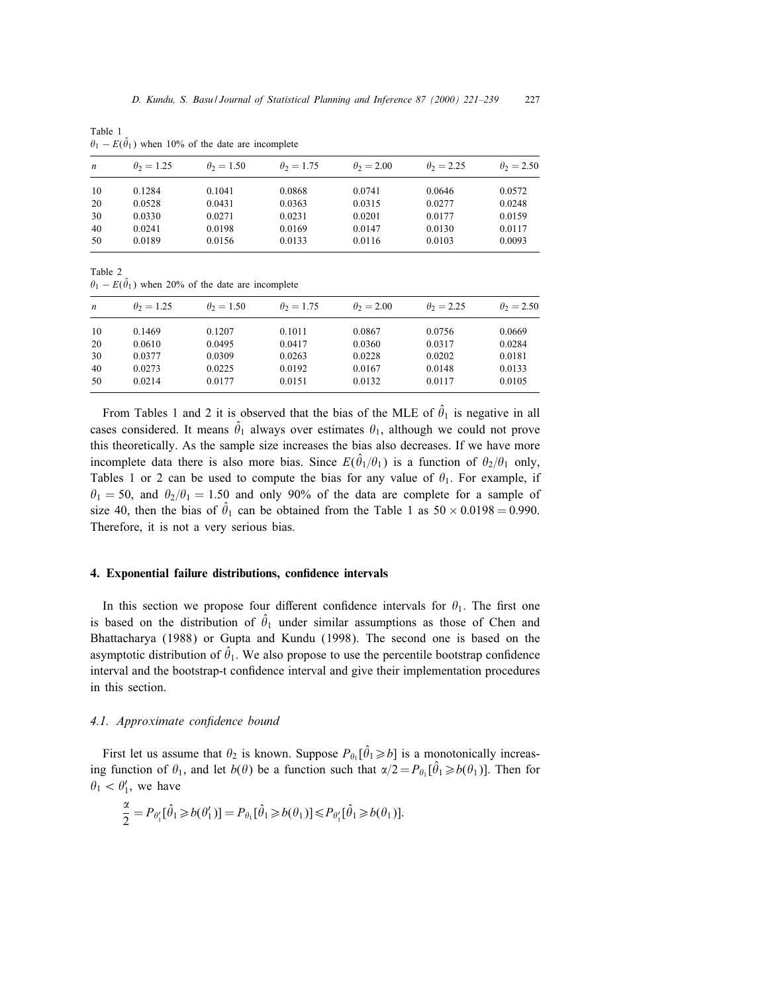| $\boldsymbol{n}$ | $\theta_2 = 1.25$ | $\theta_2 = 1.50$ | $\theta_2 = 1.75$ | $\theta_2 = 2.00$ | $\theta_2 = 2.25$ | $\theta_2 = 2.50$ |
|------------------|-------------------|-------------------|-------------------|-------------------|-------------------|-------------------|
| 10               | 0.1284            | 0.1041            | 0.0868            | 0.0741            | 0.0646            | 0.0572            |
| 20               | 0.0528            | 0.0431            | 0.0363            | 0.0315            | 0.0277            | 0.0248            |
| 30               | 0.0330            | 0.0271            | 0.0231            | 0.0201            | 0.0177            | 0.0159            |
| 40               | 0.0241            | 0.0198            | 0.0169            | 0.0147            | 0.0130            | 0.0117            |
| 50               | 0.0189            | 0.0156            | 0.0133            | 0.0116            | 0.0103            | 0.0093            |
|                  |                   |                   |                   |                   |                   |                   |

Table 1  $\theta_1 - E(\hat{\theta}_1)$  when 10% of the date are incomplete

Table 2  $\theta_1 - E(\hat{\theta}_1)$  when 20% of the date are incomplete

| $\boldsymbol{n}$ | $\theta_2 = 1.25$ | $\theta_2 = 1.50$ | $\theta_2 = 1.75$ | $\theta_2 = 2.00$ | $\theta_2 = 2.25$ | $\theta_2 = 2.50$ |
|------------------|-------------------|-------------------|-------------------|-------------------|-------------------|-------------------|
| 10               | 0.1469            | 0.1207            | 0.1011            | 0.0867            | 0.0756            | 0.0669            |
| 20               | 0.0610            | 0.0495            | 0.0417            | 0.0360            | 0.0317            | 0.0284            |
| 30               | 0.0377            | 0.0309            | 0.0263            | 0.0228            | 0.0202            | 0.0181            |
| 40               | 0.0273            | 0.0225            | 0.0192            | 0.0167            | 0.0148            | 0.0133            |
| 50               | 0.0214            | 0.0177            | 0.0151            | 0.0132            | 0.0117            | 0.0105            |
|                  |                   |                   |                   |                   |                   |                   |

From Tables 1 and 2 it is observed that the bias of the MLE of  $\hat{\theta}_1$  is negative in all cases considered. It means  $\hat{\theta}_1$  always over estimates  $\theta_1$ , although we could not prove this theoretically. As the sample size increases the bias also decreases. If we have more incomplete data there is also more bias. Since  $E(\hat{\theta}_1/\theta_1)$  is a function of  $\theta_2/\theta_1$  only, Tables 1 or 2 can be used to compute the bias for any value of  $\theta_1$ . For example, if  $\theta_1 = 50$ , and  $\theta_2/\theta_1 = 1.50$  and only 90% of the data are complete for a sample of size 40, then the bias of  $\hat{\theta}_1$  can be obtained from the Table 1 as  $50 \times 0.0198 = 0.990$ . Therefore, it is not a very serious bias.

### 4. Exponential failure distributions, confidence intervals

In this section we propose four different confidence intervals for  $\theta_1$ . The first one is based on the distribution of  $\hat{\theta}_1$  under similar assumptions as those of Chen and Bhattacharya (1988) or Gupta and Kundu (1998). The second one is based on the asymptotic distribution of  $\hat{\theta}_1$ . We also propose to use the percentile bootstrap confidence interval and the bootstrap-t confidence interval and give their implementation procedures in this section.

## 4.1. Approximate confidence bound

First let us assume that  $\theta_2$  is known. Suppose  $P_{\theta_1}[\hat{\theta}_1 \geq b]$  is a monotonically increasing function of  $\theta_1$ , and let  $b(\theta)$  be a function such that  $\alpha/2 = P_{\theta_1} [\hat{\theta}_1 \geq b(\theta_1)]$ . Then for  $\theta_1 < \theta'_1$ , we have

$$
\frac{\alpha}{2} = P_{\theta'_1}[\hat{\theta}_1 \geq b(\theta'_1)] = P_{\theta_1}[\hat{\theta}_1 \geq b(\theta_1)] \leq P_{\theta'_1}[\hat{\theta}_1 \geq b(\theta_1)].
$$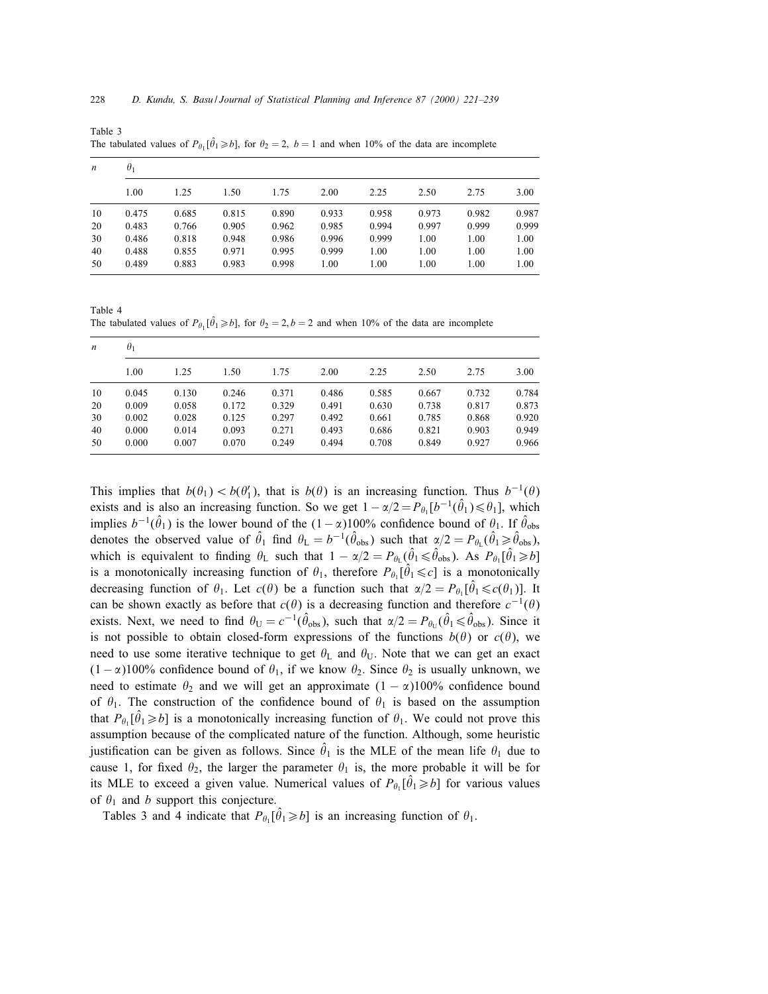| $\boldsymbol{n}$ | $\theta_1$ |       |       |       |       |       |       |       |       |  |  |  |
|------------------|------------|-------|-------|-------|-------|-------|-------|-------|-------|--|--|--|
|                  | 1.00       | 1.25  | 1.50  | 1.75  | 2.00  | 2.25  | 2.50  | 2.75  | 3.00  |  |  |  |
| 10               | 0.475      | 0.685 | 0.815 | 0.890 | 0.933 | 0.958 | 0.973 | 0.982 | 0.987 |  |  |  |
| 20               | 0.483      | 0.766 | 0.905 | 0.962 | 0.985 | 0.994 | 0.997 | 0.999 | 0.999 |  |  |  |
| 30               | 0.486      | 0.818 | 0.948 | 0.986 | 0.996 | 0.999 | 1.00  | 1.00  | 1.00  |  |  |  |
| 40               | 0.488      | 0.855 | 0.971 | 0.995 | 0.999 | 1.00  | 1.00  | 1.00  | 1.00  |  |  |  |
| 50               | 0.489      | 0.883 | 0.983 | 0.998 | 1.00  | 1.00  | 1.00  | 1.00  | 1.00  |  |  |  |

Table 3 The tabulated values of  $P_{\theta_1}[\hat{\theta}_1 \geq b]$ , for  $\theta_2 = 2$ ,  $b = 1$  and when 10% of the data are incomplete

Table 4 The tabulated values of  $P_{\theta_1}[\hat{\theta}_1 \geq b]$ , for  $\theta_2 = 2$ ,  $b = 2$  and when 10% of the data are incomplete

| $\boldsymbol{n}$ | $\theta_1$ |       |       |       |       |       |       |       |       |  |  |
|------------------|------------|-------|-------|-------|-------|-------|-------|-------|-------|--|--|
|                  | 1.00       | 1.25  | 1.50  | 1.75  | 2.00  | 2.25  | 2.50  | 2.75  | 3.00  |  |  |
| 10               | 0.045      | 0.130 | 0.246 | 0.371 | 0.486 | 0.585 | 0.667 | 0.732 | 0.784 |  |  |
| 20               | 0.009      | 0.058 | 0.172 | 0.329 | 0.491 | 0.630 | 0.738 | 0.817 | 0.873 |  |  |
| 30               | 0.002      | 0.028 | 0.125 | 0.297 | 0.492 | 0.661 | 0.785 | 0.868 | 0.920 |  |  |
| 40               | 0.000      | 0.014 | 0.093 | 0.271 | 0.493 | 0.686 | 0.821 | 0.903 | 0.949 |  |  |
| 50               | 0.000      | 0.007 | 0.070 | 0.249 | 0.494 | 0.708 | 0.849 | 0.927 | 0.966 |  |  |

This implies that  $b(\theta_1) < b(\theta_1')$ , that is  $b(\theta)$  is an increasing function. Thus  $b^{-1}(\theta)$ exists and is also an increasing function. So we get  $1 - \alpha/2 = P_{\theta_1}[b^{-1}(\hat{\theta}_1) \le \theta_1]$ , which implies  $b^{-1}(\hat{\theta}_1)$  is the lower bound of the  $(1-\alpha)100\%$  confidence bound of  $\theta_1$ . If  $\hat{\theta}_{obs}$ denotes the observed value of  $\hat{\theta}_1$  find  $\theta_L = b^{-1}(\hat{\theta}_{obs})$  such that  $\alpha/2 = P_{\theta_L}(\hat{\theta}_1 \ge \hat{\theta}_{obs})$ , which is equivalent to finding  $\theta_L$  such that  $1 - \alpha/2 = P_{\theta_L}(\hat{\theta}_1 \le \hat{\theta}_{obs})$ . As  $P_{\theta_1}[\hat{\theta}_1 \ge b]$ is a monotonically increasing function of  $\theta_1$ , therefore  $P_{\theta_1}[\hat{\theta}_1 \leq c]$  is a monotonically decreasing function of  $\theta_1$ . Let  $c(\theta)$  be a function such that  $\alpha/2 = P_{\theta_1} [\hat{\theta}_1 \leq c(\theta_1)]$ . It can be shown exactly as before that  $c(\theta)$  is a decreasing function and therefore  $c^{-1}(\theta)$ exists. Next, we need to find  $\theta_U = c^{-1}(\hat{\theta}_{obs})$ , such that  $\alpha/2 = P_{\theta_U}(\hat{\theta}_1 \le \hat{\theta}_{obs})$ . Since it is not possible to obtain closed-form expressions of the functions  $b(\theta)$  or  $c(\theta)$ , we need to use some iterative technique to get  $\theta_L$  and  $\theta_U$ . Note that we can get an exact  $(1 - \alpha)100\%$  confidence bound of  $\theta_1$ , if we know  $\theta_2$ . Since  $\theta_2$  is usually unknown, we need to estimate  $\theta_2$  and we will get an approximate  $(1 - \alpha)100\%$  confidence bound of  $\theta_1$ . The construction of the confidence bound of  $\theta_1$  is based on the assumption that  $P_{\theta_1}[\hat{\theta}_1 \geq b]$  is a monotonically increasing function of  $\theta_1$ . We could not prove this assumption because of the complicated nature of the function. Although, some heuristic justification can be given as follows. Since  $\hat{\theta}_1$  is the MLE of the mean life  $\theta_1$  due to cause 1, for fixed  $\theta_2$ , the larger the parameter  $\theta_1$  is, the more probable it will be for its MLE to exceed a given value. Numerical values of  $P_{\theta_1}[\hat{\theta}_1 \geq b]$  for various values of  $\theta_1$  and b support this conjecture.

Tables 3 and 4 indicate that  $P_{\theta_1}[\hat{\theta}_1 \ge b]$  is an increasing function of  $\theta_1$ .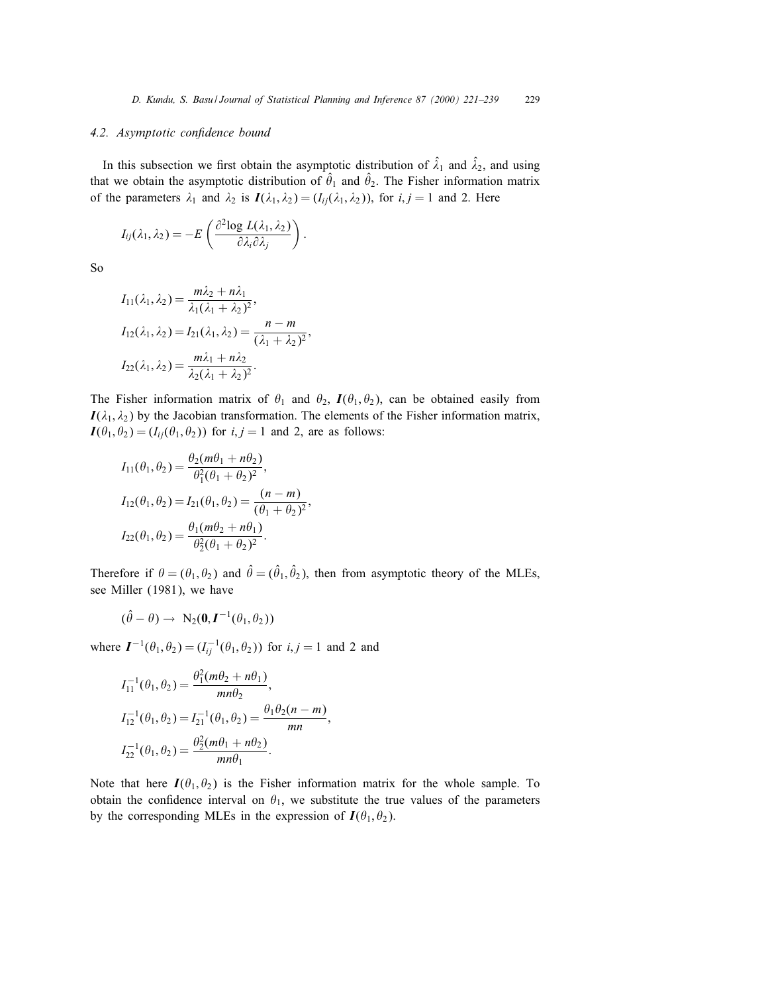## 4.2. Asymptotic confidence bound

In this subsection we first obtain the asymptotic distribution of  $\hat{\lambda}_1$  and  $\hat{\lambda}_2$ , and using that we obtain the asymptotic distribution of  $\hat{\theta}_1$  and  $\hat{\theta}_2$ . The Fisher information matrix of the parameters  $\lambda_1$  and  $\lambda_2$  is  $I(\lambda_1, \lambda_2)=(I_{ij}(\lambda_1, \lambda_2))$ , for  $i, j = 1$  and 2. Here

$$
I_{ij}(\lambda_1,\lambda_2) = -E\left(\frac{\partial^2 \log L(\lambda_1,\lambda_2)}{\partial \lambda_i \partial \lambda_j}\right).
$$

So

$$
I_{11}(\lambda_1, \lambda_2) = \frac{m\lambda_2 + n\lambda_1}{\lambda_1(\lambda_1 + \lambda_2)^2},
$$
  
\n
$$
I_{12}(\lambda_1, \lambda_2) = I_{21}(\lambda_1, \lambda_2) = \frac{n - m}{(\lambda_1 + \lambda_2)^2},
$$
  
\n
$$
I_{22}(\lambda_1, \lambda_2) = \frac{m\lambda_1 + n\lambda_2}{\lambda_2(\lambda_1 + \lambda_2)^2}.
$$

The Fisher information matrix of  $\theta_1$  and  $\theta_2$ ,  $I(\theta_1, \theta_2)$ , can be obtained easily from  $I(\lambda_1, \lambda_2)$  by the Jacobian transformation. The elements of the Fisher information matrix,  $I(\theta_1, \theta_2) = (I_{ii}(\theta_1, \theta_2))$  for  $i, j = 1$  and 2, are as follows:

$$
I_{11}(\theta_1, \theta_2) = \frac{\theta_2(m\theta_1 + n\theta_2)}{\theta_1^2(\theta_1 + \theta_2)^2},
$$
  
\n
$$
I_{12}(\theta_1, \theta_2) = I_{21}(\theta_1, \theta_2) = \frac{(n-m)}{(\theta_1 + \theta_2)^2},
$$
  
\n
$$
I_{22}(\theta_1, \theta_2) = \frac{\theta_1(m\theta_2 + n\theta_1)}{\theta_2^2(\theta_1 + \theta_2)^2}.
$$

Therefore if  $\theta = (\theta_1, \theta_2)$  and  $\hat{\theta} = (\hat{\theta}_1, \hat{\theta}_2)$ , then from asymptotic theory of the MLEs, see Miller (1981), we have

$$
(\hat{\theta} - \theta) \rightarrow N_2(\mathbf{0}, \mathbf{I}^{-1}(\theta_1, \theta_2))
$$

where  $I^{-1}(\theta_1, \theta_2) = (I_{ij}^{-1}(\theta_1, \theta_2))$  for  $i, j = 1$  and 2 and

$$
I_{11}^{-1}(\theta_1, \theta_2) = \frac{\theta_1^2(m\theta_2 + n\theta_1)}{mn\theta_2},
$$
  
\n
$$
I_{12}^{-1}(\theta_1, \theta_2) = I_{21}^{-1}(\theta_1, \theta_2) = \frac{\theta_1\theta_2(n - m)}{mn},
$$
  
\n
$$
I_{22}^{-1}(\theta_1, \theta_2) = \frac{\theta_2^2(m\theta_1 + n\theta_2)}{mn\theta_1}.
$$

Note that here  $I(\theta_1, \theta_2)$  is the Fisher information matrix for the whole sample. To obtain the confidence interval on  $\theta_1$ , we substitute the true values of the parameters by the corresponding MLEs in the expression of  $I(\theta_1, \theta_2)$ .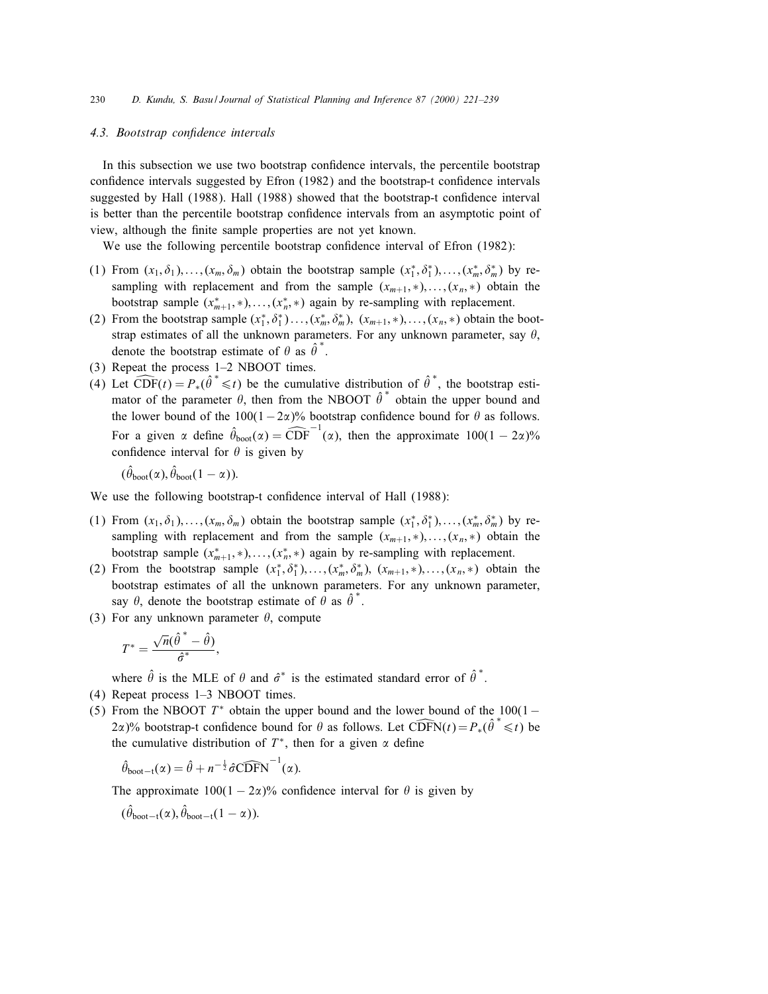# 4.3. Bootstrap confidence intervals

In this subsection we use two bootstrap condence intervals, the percentile bootstrap confidence intervals suggested by Efron (1982) and the bootstrap-t confidence intervals suggested by Hall (1988). Hall (1988) showed that the bootstrap-t confidence interval is better than the percentile bootstrap condence intervals from an asymptotic point of view, although the finite sample properties are not yet known.

We use the following percentile bootstrap confidence interval of Efron (1982):

- (1) From  $(x_1, \delta_1), \ldots, (x_m, \delta_m)$  obtain the bootstrap sample  $(x_1^*, \delta_1^*, \ldots, (x_m^*, \delta_m^*)$  by resampling with replacement and from the sample  $(x_{m+1},\ast),\ldots,(x_n,\ast)$  obtain the bootstrap sample  $(x_{m+1}^*,*,\ldots,(x_n^*,*)$  again by re-sampling with replacement.
- (2) From the bootstrap sample  $(x_1^*, \delta_1^*) \ldots, (x_m^*, \delta_m^*)$ ,  $(x_{m+1}, *), \ldots, (x_n, *)$  obtain the bootstrap estimates of all the unknown parameters. For any unknown parameter, say  $\theta$ , denote the bootstrap estimate of  $\theta$  as  $\hat{\theta}^*$ .
- (3) Repeat the process 1–2 NBOOT times.
- (4) Let  $\widehat{\mathrm{CDF}}(t) = P_*(\hat{\theta}^* \leq t)$  be the cumulative distribution of  $\hat{\theta}^*$ , the bootstrap estimator of the parameter  $\theta$ , then from the NBOOT  $\hat{\theta}^*$  obtain the upper bound and the lower bound of the  $100(1-2\alpha)\%$  bootstrap confidence bound for  $\theta$  as follows. For a given  $\alpha$  define  $\hat{\theta}_{boot}(\alpha) = \widehat{CDF}^{-1}(\alpha)$ , then the approximate  $100(1 - 2\alpha)\%$ confidence interval for  $\theta$  is given by

 $(\hat{\theta}_{boot}(\alpha), \hat{\theta}_{boot}(1-\alpha)).$ 

We use the following bootstrap-t confidence interval of Hall (1988):

- (1) From  $(x_1, \delta_1), \ldots, (x_m, \delta_m)$  obtain the bootstrap sample  $(x_1^*, \delta_1^*, \ldots, (x_m^*, \delta_m^*)$  by resampling with replacement and from the sample  $(x_{m+1},\ldots,(x_n,\ast))$  obtain the bootstrap sample  $(x_{m+1}^*,*,\ldots,(x_n^*,*)$  again by re-sampling with replacement.
- (2) From the bootstrap sample  $(x_1^*, \delta_1^*),..., (x_m^*, \delta_m^*), (x_{m+1}, *),..., (x_n, *)$  obtain the bootstrap estimates of all the unknown parameters. For any unknown parameter, say  $\theta$ , denote the bootstrap estimate of  $\theta$  as  $\hat{\theta}^*$ .
- (3) For any unknown parameter  $\theta$ , compute

$$
T^* = \frac{\sqrt{n}(\hat{\theta}^* - \hat{\theta})}{\hat{\sigma}^*},
$$

where  $\hat{\theta}$  is the MLE of  $\theta$  and  $\hat{\sigma}^*$  is the estimated standard error of  $\hat{\theta}^*$ .

- (4) Repeat process 1–3 NBOOT times.
- (5) From the NBOOT  $T^*$  obtain the upper bound and the lower bound of the 100(1 2 $\alpha$ )% bootstrap-t confidence bound for  $\theta$  as follows. Let  $\widehat{CDFN}(t) = P_*(\hat{\theta}^* \leq t)$  be the cumulative distribution of  $T^*$ , then for a given  $\alpha$  define

$$
\hat{\theta}_{\text{boot}-t}(\alpha) = \hat{\theta} + n^{-\frac{1}{2}} \hat{\sigma} \widehat{\text{CDFN}}^{-1}(\alpha).
$$

The approximate  $100(1 - 2\alpha)$ % confidence interval for  $\theta$  is given by

$$
(\hat{\theta}_{boot-t}(\alpha), \hat{\theta}_{boot-t}(1-\alpha)).
$$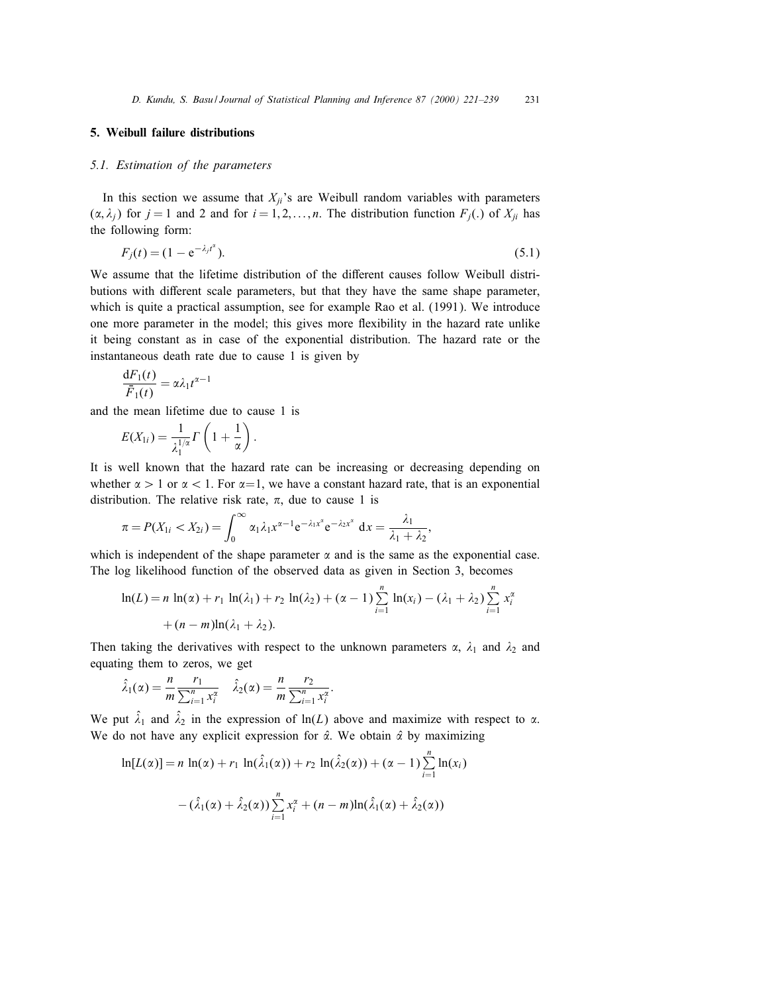# 5. Weibull failure distributions

## 5.1. Estimation of the parameters

In this section we assume that  $X_{ii}$ 's are Weibull random variables with parameters  $(\alpha, \lambda_i)$  for  $j = 1$  and 2 and for  $i = 1, 2, \ldots, n$ . The distribution function  $F_j(.)$  of  $X_{ji}$  has the following form:

$$
F_j(t) = (1 - e^{-\lambda_j t^{\alpha}}). \tag{5.1}
$$

We assume that the lifetime distribution of the different causes follow Weibull distributions with different scale parameters, but that they have the same shape parameter, which is quite a practical assumption, see for example Rao et al. (1991). We introduce one more parameter in the model; this gives more flexibility in the hazard rate unlike it being constant as in case of the exponential distribution. The hazard rate or the instantaneous death rate due to cause 1 is given by

$$
\frac{\mathrm{d}F_1(t)}{\bar{F}_1(t)} = \alpha \lambda_1 t^{\alpha - 1}
$$

and the mean lifetime due to cause 1 is

$$
E(X_{1i}) = \frac{1}{\lambda_1^{1/\alpha}} \Gamma\left(1 + \frac{1}{\alpha}\right).
$$

It is well known that the hazard rate can be increasing or decreasing depending on whether  $\alpha > 1$  or  $\alpha < 1$ . For  $\alpha = 1$ , we have a constant hazard rate, that is an exponential distribution. The relative risk rate,  $\pi$ , due to cause 1 is

$$
\pi = P(X_{1i} < X_{2i}) = \int_0^\infty \alpha_1 \lambda_1 x^{\alpha - 1} e^{-\lambda_1 x^{\alpha}} e^{-\lambda_2 x^{\alpha}} dx = \frac{\lambda_1}{\lambda_1 + \lambda_2},
$$

which is independent of the shape parameter  $\alpha$  and is the same as the exponential case. The log likelihood function of the observed data as given in Section 3, becomes

$$
\ln(L) = n \ln(\alpha) + r_1 \ln(\lambda_1) + r_2 \ln(\lambda_2) + (\alpha - 1) \sum_{i=1}^n \ln(x_i) - (\lambda_1 + \lambda_2) \sum_{i=1}^n x_i^{\alpha}
$$
  
+  $(n - m)\ln(\lambda_1 + \lambda_2).$ 

Then taking the derivatives with respect to the unknown parameters  $\alpha$ ,  $\lambda_1$  and  $\lambda_2$  and equating them to zeros, we get

:

$$
\hat{\lambda}_1(\alpha) = \frac{n}{m} \frac{r_1}{\sum_{i=1}^n x_i^{\alpha}} \quad \hat{\lambda}_2(\alpha) = \frac{n}{m} \frac{r_2}{\sum_{i=1}^n x_i^{\alpha}}
$$

We put  $\hat{\lambda}_1$  and  $\hat{\lambda}_2$  in the expression of ln(L) above and maximize with respect to  $\alpha$ . We do not have any explicit expression for  $\hat{\alpha}$ . We obtain  $\hat{\alpha}$  by maximizing

$$
\ln[L(\alpha)] = n \ln(\alpha) + r_1 \ln(\hat{\lambda}_1(\alpha)) + r_2 \ln(\hat{\lambda}_2(\alpha)) + (\alpha - 1) \sum_{i=1}^n \ln(x_i)
$$

$$
- (\hat{\lambda}_1(\alpha) + \hat{\lambda}_2(\alpha)) \sum_{i=1}^n x_i^{\alpha} + (n - m) \ln(\hat{\lambda}_1(\alpha) + \hat{\lambda}_2(\alpha))
$$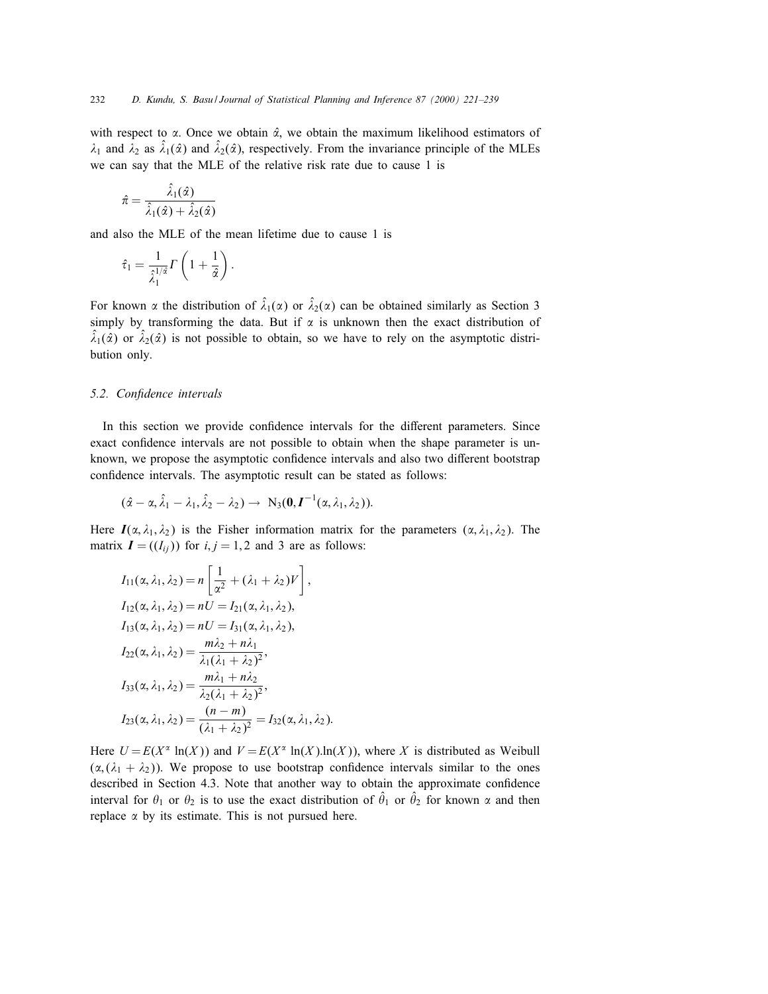with respect to  $\alpha$ . Once we obtain  $\hat{\alpha}$ , we obtain the maximum likelihood estimators of  $\lambda_1$  and  $\lambda_2$  as  $\hat{\lambda}_1(\hat{\alpha})$  and  $\hat{\lambda}_2(\hat{\alpha})$ , respectively. From the invariance principle of the MLEs we can say that the MLE of the relative risk rate due to cause 1 is

$$
\hat{\pi}=\frac{\hat{\lambda}_1(\hat{\alpha})}{\hat{\lambda}_1(\hat{\alpha})+\hat{\lambda}_2(\hat{\alpha})}
$$

and also the MLE of the mean lifetime due to cause 1 is

$$
\hat{\tau}_1 = \frac{1}{\hat{\lambda}_1^{1/\hat{\alpha}}} \Gamma\left(1 + \frac{1}{\hat{\alpha}}\right).
$$

For known  $\alpha$  the distribution of  $\hat{\lambda}_1(\alpha)$  or  $\hat{\lambda}_2(\alpha)$  can be obtained similarly as Section 3 simply by transforming the data. But if  $\alpha$  is unknown then the exact distribution of  $\hat{\lambda}_1(\hat{\alpha})$  or  $\hat{\lambda}_2(\hat{\alpha})$  is not possible to obtain, so we have to rely on the asymptotic distribution only.

# 5.2. Confidence intervals

In this section we provide confidence intervals for the different parameters. Since exact confidence intervals are not possible to obtain when the shape parameter is unknown, we propose the asymptotic confidence intervals and also two different bootstrap condence intervals. The asymptotic result can be stated as follows:

$$
(\hat{\alpha}-\alpha,\hat{\lambda}_1-\lambda_1,\hat{\lambda}_2-\lambda_2)\rightarrow N_3(0,\boldsymbol{I}^{-1}(\alpha,\lambda_1,\lambda_2)).
$$

Here  $I(\alpha, \lambda_1, \lambda_2)$  is the Fisher information matrix for the parameters  $(\alpha, \lambda_1, \lambda_2)$ . The matrix  $I = ((I_{ii}))$  for  $i, j = 1, 2$  and 3 are as follows:

$$
I_{11}(\alpha, \lambda_1, \lambda_2) = n \left[ \frac{1}{\alpha^2} + (\lambda_1 + \lambda_2)V \right],
$$
  
\n
$$
I_{12}(\alpha, \lambda_1, \lambda_2) = nU = I_{21}(\alpha, \lambda_1, \lambda_2),
$$
  
\n
$$
I_{13}(\alpha, \lambda_1, \lambda_2) = nU = I_{31}(\alpha, \lambda_1, \lambda_2),
$$
  
\n
$$
I_{22}(\alpha, \lambda_1, \lambda_2) = \frac{m\lambda_2 + n\lambda_1}{\lambda_1(\lambda_1 + \lambda_2)^2},
$$
  
\n
$$
I_{33}(\alpha, \lambda_1, \lambda_2) = \frac{m\lambda_1 + n\lambda_2}{\lambda_2(\lambda_1 + \lambda_2)^2},
$$
  
\n
$$
I_{23}(\alpha, \lambda_1, \lambda_2) = \frac{(n - m)}{(\lambda_1 + \lambda_2)^2} = I_{32}(\alpha, \lambda_1, \lambda_2).
$$

Here  $U = E(X^{\alpha} \ln(X))$  and  $V = E(X^{\alpha} \ln(X) \ln(X))$ , where X is distributed as Weibull  $(\alpha, (\lambda_1 + \lambda_2))$ . We propose to use bootstrap confidence intervals similar to the ones described in Section 4.3. Note that another way to obtain the approximate confidence interval for  $\theta_1$  or  $\theta_2$  is to use the exact distribution of  $\hat{\theta}_1$  or  $\hat{\theta}_2$  for known  $\alpha$  and then replace  $\alpha$  by its estimate. This is not pursued here.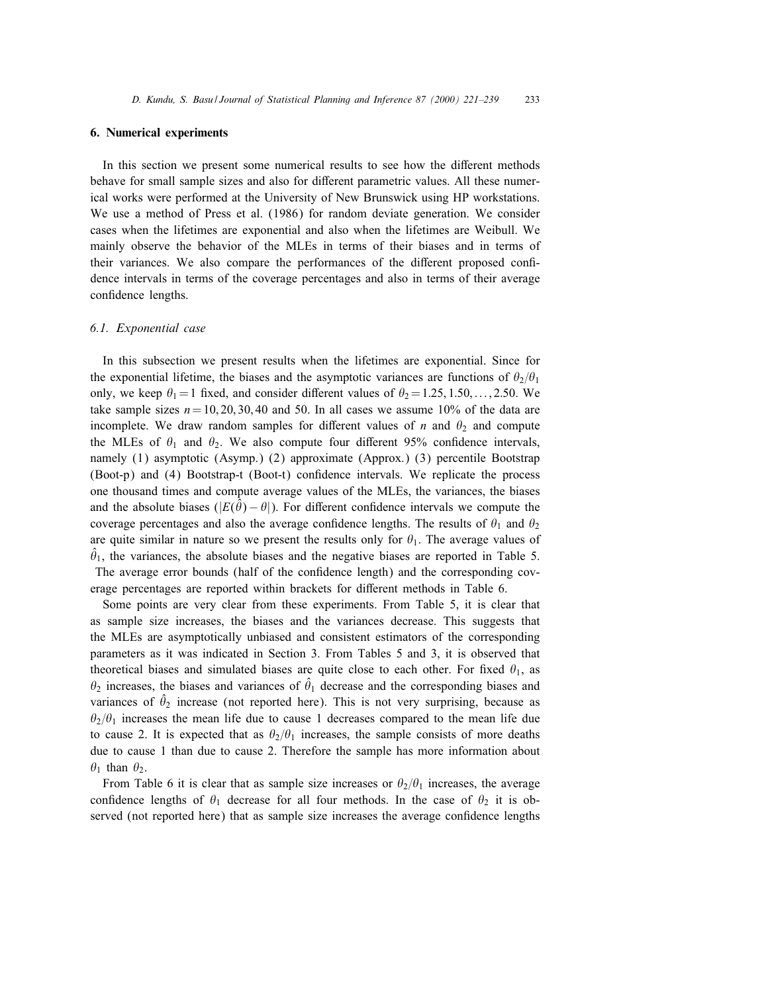# 6. Numerical experiments

In this section we present some numerical results to see how the different methods behave for small sample sizes and also for different parametric values. All these numerical works were performed at the University of New Brunswick using HP workstations. We use a method of Press et al. (1986) for random deviate generation. We consider cases when the lifetimes are exponential and also when the lifetimes are Weibull. We mainly observe the behavior of the MLEs in terms of their biases and in terms of their variances. We also compare the performances of the different proposed confidence intervals in terms of the coverage percentages and also in terms of their average condence lengths.

### 6.1. Exponential case

In this subsection we present results when the lifetimes are exponential. Since for the exponential lifetime, the biases and the asymptotic variances are functions of  $\theta_2/\theta_1$ only, we keep  $\theta_1 = 1$  fixed, and consider different values of  $\theta_2 = 1.25, 1.50, \ldots, 2.50$ . We take sample sizes  $n = 10, 20, 30, 40$  and 50. In all cases we assume 10% of the data are incomplete. We draw random samples for different values of n and  $\theta_2$  and compute the MLEs of  $\theta_1$  and  $\theta_2$ . We also compute four different 95% confidence intervals, namely (1) asymptotic (Asymp.) (2) approximate (Approx.) (3) percentile Bootstrap (Boot-p) and (4) Bootstrap-t (Boot-t) condence intervals. We replicate the process one thousand times and compute average values of the MLEs, the variances, the biases and the absolute biases  $(|E(\hat{\theta}) - \theta|)$ . For different confidence intervals we compute the coverage percentages and also the average confidence lengths. The results of  $\theta_1$  and  $\theta_2$ are quite similar in nature so we present the results only for  $\theta_1$ . The average values of  $\hat{\theta}_1$ , the variances, the absolute biases and the negative biases are reported in Table 5. The average error bounds (half of the confidence length) and the corresponding coverage percentages are reported within brackets for different methods in Table 6.

Some points are very clear from these experiments. From Table 5, it is clear that as sample size increases, the biases and the variances decrease. This suggests that the MLEs are asymptotically unbiased and consistent estimators of the corresponding parameters as it was indicated in Section 3. From Tables 5 and 3, it is observed that theoretical biases and simulated biases are quite close to each other. For fixed  $\theta_1$ , as  $\theta_2$  increases, the biases and variances of  $\hat{\theta}_1$  decrease and the corresponding biases and variances of  $\hat{\theta}_2$  increase (not reported here). This is not very surprising, because as  $\theta_2/\theta_1$  increases the mean life due to cause 1 decreases compared to the mean life due to cause 2. It is expected that as  $\theta_2/\theta_1$  increases, the sample consists of more deaths due to cause 1 than due to cause 2. Therefore the sample has more information about  $\theta_1$  than  $\theta_2$ .

From Table 6 it is clear that as sample size increases or  $\theta_2/\theta_1$  increases, the average confidence lengths of  $\theta_1$  decrease for all four methods. In the case of  $\theta_2$  it is observed (not reported here) that as sample size increases the average confidence lengths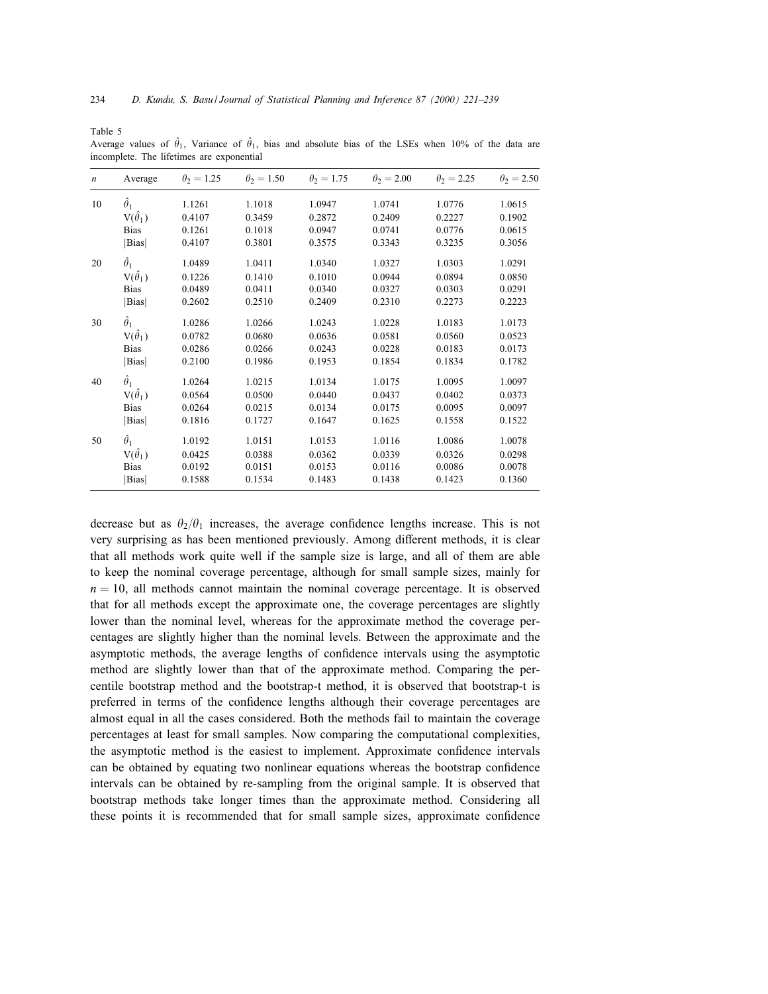Table 5

|                  | The intention are exponential |                   |                   |                   |                   |                   |                   |  |  |
|------------------|-------------------------------|-------------------|-------------------|-------------------|-------------------|-------------------|-------------------|--|--|
| $\boldsymbol{n}$ | Average                       | $\theta_2 = 1.25$ | $\theta_2 = 1.50$ | $\theta_2 = 1.75$ | $\theta_2 = 2.00$ | $\theta_2 = 2.25$ | $\theta_2 = 2.50$ |  |  |
| 10               | $\hat{\theta}_1$              | 1.1261            | 1.1018            | 1.0947            | 1.0741            | 1.0776            | 1.0615            |  |  |
|                  | $V(\hat{\theta}_1)$           | 0.4107            | 0.3459            | 0.2872            | 0.2409            | 0.2227            | 0.1902            |  |  |
|                  | <b>Bias</b>                   | 0.1261            | 0.1018            | 0.0947            | 0.0741            | 0.0776            | 0.0615            |  |  |
|                  | Bias                          | 0.4107            | 0.3801            | 0.3575            | 0.3343            | 0.3235            | 0.3056            |  |  |
| 20               | $\hat{\theta}_1$              | 1.0489            | 1.0411            | 1.0340            | 1.0327            | 1.0303            | 1.0291            |  |  |
|                  | $V(\hat{\theta}_1)$           | 0.1226            | 0.1410            | 0.1010            | 0.0944            | 0.0894            | 0.0850            |  |  |
|                  | <b>Bias</b>                   | 0.0489            | 0.0411            | 0.0340            | 0.0327            | 0.0303            | 0.0291            |  |  |
|                  | Bias                          | 0.2602            | 0.2510            | 0.2409            | 0.2310            | 0.2273            | 0.2223            |  |  |
| 30               | $\hat{\theta}_1$              | 1.0286            | 1.0266            | 1.0243            | 1.0228            | 1.0183            | 1.0173            |  |  |
|                  | $V(\hat{\theta}_1)$           | 0.0782            | 0.0680            | 0.0636            | 0.0581            | 0.0560            | 0.0523            |  |  |
|                  | <b>Bias</b>                   | 0.0286            | 0.0266            | 0.0243            | 0.0228            | 0.0183            | 0.0173            |  |  |
|                  | Bias                          | 0.2100            | 0.1986            | 0.1953            | 0.1854            | 0.1834            | 0.1782            |  |  |
| 40               | $\hat{\theta}_1$              | 1.0264            | 1.0215            | 1.0134            | 1.0175            | 1.0095            | 1.0097            |  |  |
|                  | $V(\hat{\theta}_1)$           | 0.0564            | 0.0500            | 0.0440            | 0.0437            | 0.0402            | 0.0373            |  |  |
|                  | <b>Bias</b>                   | 0.0264            | 0.0215            | 0.0134            | 0.0175            | 0.0095            | 0.0097            |  |  |
|                  | Bias                          | 0.1816            | 0.1727            | 0.1647            | 0.1625            | 0.1558            | 0.1522            |  |  |
| 50               | $\hat{\theta}_1$              | 1.0192            | 1.0151            | 1.0153            | 1.0116            | 1.0086            | 1.0078            |  |  |
|                  | $V(\hat{\theta}_1)$           | 0.0425            | 0.0388            | 0.0362            | 0.0339            | 0.0326            | 0.0298            |  |  |
|                  | <b>Bias</b>                   | 0.0192            | 0.0151            | 0.0153            | 0.0116            | 0.0086            | 0.0078            |  |  |
|                  | Bias                          | 0.1588            | 0.1534            | 0.1483            | 0.1438            | 0.1423            | 0.1360            |  |  |
|                  |                               |                   |                   |                   |                   |                   |                   |  |  |

Average values of  $\hat{\theta}_1$ , Variance of  $\hat{\theta}_1$ , bias and absolute bias of the LSEs when 10% of the data are incomplete. The lifetimes are exponential

decrease but as  $\theta_2/\theta_1$  increases, the average confidence lengths increase. This is not very surprising as has been mentioned previously. Among different methods, it is clear that all methods work quite well if the sample size is large, and all of them are able to keep the nominal coverage percentage, although for small sample sizes, mainly for  $n = 10$ , all methods cannot maintain the nominal coverage percentage. It is observed that for all methods except the approximate one, the coverage percentages are slightly lower than the nominal level, whereas for the approximate method the coverage percentages are slightly higher than the nominal levels. Between the approximate and the asymptotic methods, the average lengths of confidence intervals using the asymptotic method are slightly lower than that of the approximate method. Comparing the percentile bootstrap method and the bootstrap-t method, it is observed that bootstrap-t is preferred in terms of the condence lengths although their coverage percentages are almost equal in all the cases considered. Both the methods fail to maintain the coverage percentages at least for small samples. Now comparing the computational complexities, the asymptotic method is the easiest to implement. Approximate condence intervals can be obtained by equating two nonlinear equations whereas the bootstrap confidence intervals can be obtained by re-sampling from the original sample. It is observed that bootstrap methods take longer times than the approximate method. Considering all these points it is recommended that for small sample sizes, approximate condence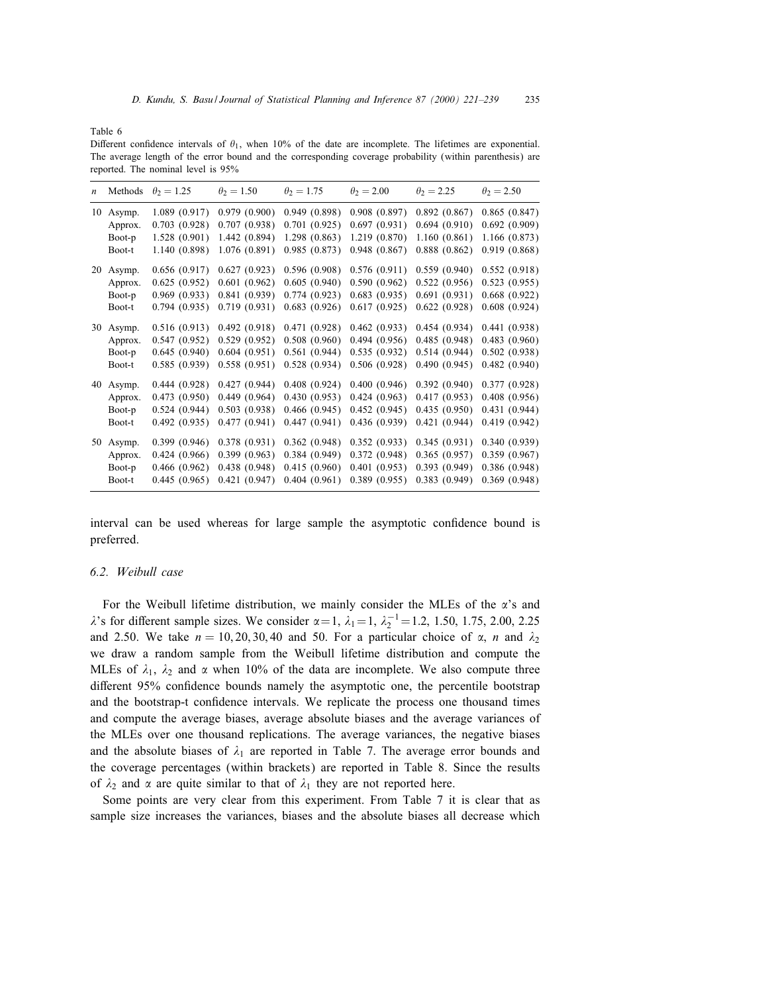Table 6

Different confidence intervals of  $\theta_1$ , when 10% of the date are incomplete. The lifetimes are exponential. The average length of the error bound and the corresponding coverage probability (within parenthesis) are reported. The nominal level is 95%

| $\boldsymbol{n}$ |           | Methods $\theta_2 = 1.25$ | $\theta_2 = 1.50$ | $\theta_2 = 1.75$ | $\theta_2 = 2.00$ | $\theta_2 = 2.25$ | $\theta_2 = 2.50$ |
|------------------|-----------|---------------------------|-------------------|-------------------|-------------------|-------------------|-------------------|
| 10               | Asymp.    | 1.089(0.917)              | 0.979(0.900)      | 0.949(0.898)      | 0.908(0.897)      | 0.892(0.867)      | 0.865(0.847)      |
|                  | Approx.   | 0.703(0.928)              | 0.707(0.938)      | 0.701(0.925)      | 0.697(0.931)      | 0.694(0.910)      | 0.692(0.909)      |
|                  | Boot-p    | 1.528(0.901)              | 1.442 (0.894)     | 1.298(0.863)      | 1.219(0.870)      | 1.160(0.861)      | 1.166(0.873)      |
| 20               | Boot-t    | 1.140(0.898)              | 1.076(0.891)      | 0.985(0.873)      | 0.948(0.867)      | 0.888(0.862)      | 0.919(0.868)      |
|                  | Asymp.    | 0.656(0.917)              | 0.627(0.923)      | 0.596(0.908)      | 0.576(0.911)      | 0.559(0.940)      | 0.552(0.918)      |
|                  | Approx.   | 0.625(0.952)              | 0.601(0.962)      | 0.605(0.940)      | 0.590(0.962)      | 0.522(0.956)      | 0.523(0.955)      |
|                  | Boot-p    | 0.969(0.933)              | 0.841(0.939)      | 0.774(0.923)      | 0.683(0.935)      | 0.691(0.931)      | 0.668(0.922)      |
|                  | Boot-t    | 0.794(0.935)              | 0.719(0.931)      | 0.683(0.926)      | 0.617(0.925)      | 0.622(0.928)      | 0.608(0.924)      |
|                  | 30 Asymp. | 0.516(0.913)              | 0.492(0.918)      | 0.471(0.928)      | 0.462(0.933)      | 0.454(0.934)      | 0.441(0.938)      |
|                  | Approx.   | 0.547(0.952)              | 0.529(0.952)      | 0.508(0.960)      | 0.494(0.956)      | 0.485(0.948)      | 0.483(0.960)      |
|                  | Boot-p    | 0.645(0.940)              | 0.604(0.951)      | 0.561(0.944)      | 0.535(0.932)      | 0.514(0.944)      | 0.502(0.938)      |
|                  | Boot-t    | 0.585(0.939)              | 0.558(0.951)      | 0.528(0.934)      | 0.506(0.928)      | 0.490(0.945)      | 0.482(0.940)      |
|                  | 40 Asymp. | 0.444(0.928)              | 0.427(0.944)      | 0.408(0.924)      | 0.400(0.946)      | 0.392(0.940)      | 0.377(0.928)      |
|                  | Approx.   | 0.473(0.950)              | 0.449(0.964)      | 0.430(0.953)      | 0.424(0.963)      | 0.417(0.953)      | 0.408(0.956)      |
|                  | Boot-p    | 0.524(0.944)              | 0.503(0.938)      | 0.466(0.945)      | 0.452(0.945)      | 0.435(0.950)      | 0.431(0.944)      |
|                  | Boot-t    | 0.492(0.935)              | 0.477(0.941)      | 0.447(0.941)      | 0.436(0.939)      | 0.421(0.944)      | 0.419(0.942)      |
|                  | 50 Asymp. | 0.399(0.946)              | 0.378(0.931)      | 0.362(0.948)      | 0.352(0.933)      | 0.345(0.931)      | 0.340(0.939)      |
|                  | Approx.   | 0.424(0.966)              | 0.399(0.963)      | 0.384(0.949)      | 0.372(0.948)      | 0.365(0.957)      | 0.359(0.967)      |
|                  | Boot-p    | 0.466(0.962)              | 0.438(0.948)      | 0.415(0.960)      | 0.401(0.953)      | 0.393(0.949)      | 0.386(0.948)      |
|                  | Boot-t    | 0.445(0.965)              | 0.421(0.947)      | 0.404(0.961)      | 0.389(0.955)      | 0.383(0.949)      | 0.369(0.948)      |

interval can be used whereas for large sample the asymptotic confidence bound is preferred.

# 6.2. Weibull case

For the Weibull lifetime distribution, we mainly consider the MLEs of the  $\alpha$ 's and  $\lambda$ 's for different sample sizes. We consider  $\alpha =1$ ,  $\lambda_1 =1$ ,  $\lambda_2^{-1} =1.2$ , 1.50, 1.75, 2.00, 2.25 and 2.50. We take  $n = 10, 20, 30, 40$  and 50. For a particular choice of  $\alpha$ , n and  $\lambda_2$ we draw a random sample from the Weibull lifetime distribution and compute the MLEs of  $\lambda_1$ ,  $\lambda_2$  and  $\alpha$  when 10% of the data are incomplete. We also compute three different 95% confidence bounds namely the asymptotic one, the percentile bootstrap and the bootstrap-t confidence intervals. We replicate the process one thousand times and compute the average biases, average absolute biases and the average variances of the MLEs over one thousand replications. The average variances, the negative biases and the absolute biases of  $\lambda_1$  are reported in Table 7. The average error bounds and the coverage percentages (within brackets) are reported in Table 8. Since the results of  $\lambda_2$  and  $\alpha$  are quite similar to that of  $\lambda_1$  they are not reported here.

Some points are very clear from this experiment. From Table 7 it is clear that as sample size increases the variances, biases and the absolute biases all decrease which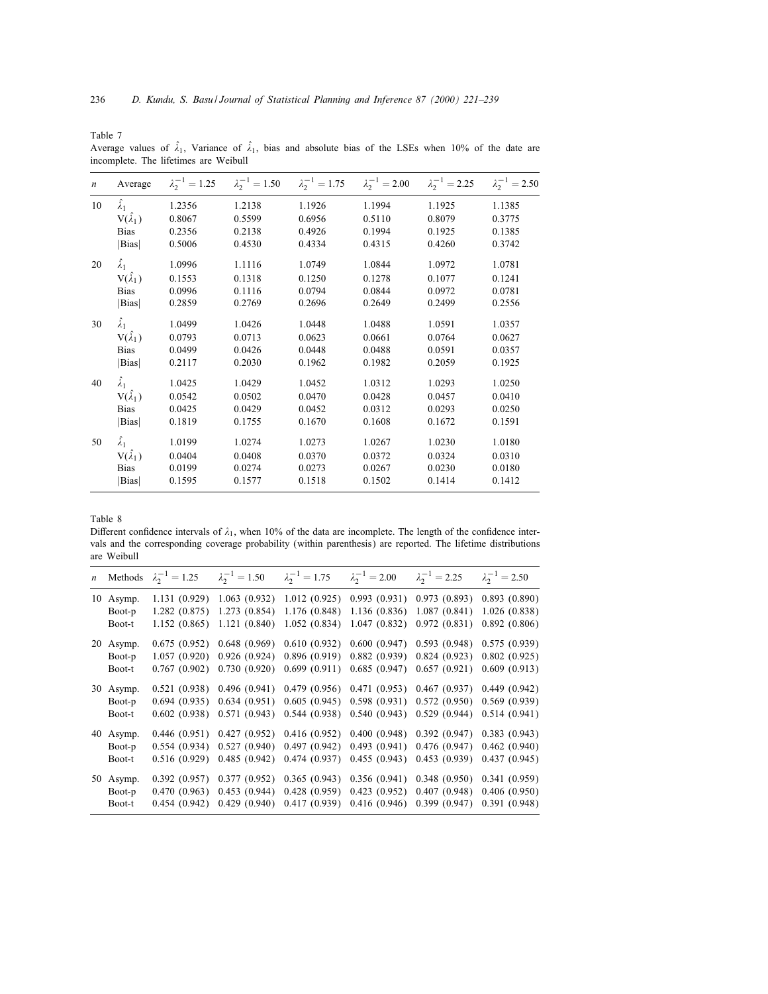Table 7

Average values of  $\hat{\lambda}_1$ , Variance of  $\hat{\lambda}_1$ , bias and absolute bias of the LSEs when 10% of the date are incomplete. The lifetimes are Weibull

| $\boldsymbol{n}$ | Average              | $\lambda_2^{-1} = 1.25$ | $\lambda_2^{-1} = 1.50$ | $\lambda_2^{-1} = 1.75$ | $\lambda_2^{-1} = 2.00$ | $\lambda_2^{-1} = 2.25$ | $\lambda_2^{-1} = 2.50$ |
|------------------|----------------------|-------------------------|-------------------------|-------------------------|-------------------------|-------------------------|-------------------------|
| 10               | $\hat{\lambda}_1$    | 1.2356                  | 1.2138                  | 1.1926                  | 1.1994                  | 1.1925                  | 1.1385                  |
|                  | $V(\hat{\lambda}_1)$ | 0.8067                  | 0.5599                  | 0.6956                  | 0.5110                  | 0.8079                  | 0.3775                  |
|                  | <b>Bias</b>          | 0.2356                  | 0.2138                  | 0.4926                  | 0.1994                  | 0.1925                  | 0.1385                  |
|                  | Bias                 | 0.5006                  | 0.4530                  | 0.4334                  | 0.4315                  | 0.4260                  | 0.3742                  |
| 20               | $\hat{\lambda}_1$    | 1.0996                  | 1.1116                  | 1.0749                  | 1.0844                  | 1.0972                  | 1.0781                  |
|                  | $V(\hat{\lambda}_1)$ | 0.1553                  | 0.1318                  | 0.1250                  | 0.1278                  | 0.1077                  | 0.1241                  |
|                  | <b>Bias</b>          | 0.0996                  | 0.1116                  | 0.0794                  | 0.0844                  | 0.0972                  | 0.0781                  |
|                  | Bias                 | 0.2859                  | 0.2769                  | 0.2696                  | 0.2649                  | 0.2499                  | 0.2556                  |
| 30               | $\hat{\lambda}_1$    | 1.0499                  | 1.0426                  | 1.0448                  | 1.0488                  | 1.0591                  | 1.0357                  |
|                  | $V(\hat{\lambda}_1)$ | 0.0793                  | 0.0713                  | 0.0623                  | 0.0661                  | 0.0764                  | 0.0627                  |
|                  | <b>Bias</b>          | 0.0499                  | 0.0426                  | 0.0448                  | 0.0488                  | 0.0591                  | 0.0357                  |
|                  | Bias                 | 0.2117                  | 0.2030                  | 0.1962                  | 0.1982                  | 0.2059                  | 0.1925                  |
| 40               | $\hat{\lambda}_1$    | 1.0425                  | 1.0429                  | 1.0452                  | 1.0312                  | 1.0293                  | 1.0250                  |
|                  | $V(\hat{\lambda}_1)$ | 0.0542                  | 0.0502                  | 0.0470                  | 0.0428                  | 0.0457                  | 0.0410                  |
|                  | <b>Bias</b>          | 0.0425                  | 0.0429                  | 0.0452                  | 0.0312                  | 0.0293                  | 0.0250                  |
|                  | Bias                 | 0.1819                  | 0.1755                  | 0.1670                  | 0.1608                  | 0.1672                  | 0.1591                  |
| 50               | $\hat{\lambda}_1$    | 1.0199                  | 1.0274                  | 1.0273                  | 1.0267                  | 1.0230                  | 1.0180                  |
|                  | $V(\hat{\lambda}_1)$ | 0.0404                  | 0.0408                  | 0.0370                  | 0.0372                  | 0.0324                  | 0.0310                  |
|                  | <b>Bias</b>          | 0.0199                  | 0.0274                  | 0.0273                  | 0.0267                  | 0.0230                  | 0.0180                  |
|                  | Bias                 | 0.1595                  | 0.1577                  | 0.1518                  | 0.1502                  | 0.1414                  | 0.1412                  |
|                  |                      |                         |                         |                         |                         |                         |                         |

### Table 8

Different confidence intervals of  $\lambda_1$ , when 10% of the data are incomplete. The length of the confidence intervals and the corresponding coverage probability (within parenthesis) are reported. The lifetime distributions are Weibull

|                               | <i>n</i> Methods $\lambda_2^{-1} = 1.25$ | $\lambda_2^{-1} = 1.50$ | $\lambda_2^{-1} = 1.75$ $\lambda_2^{-1} = 2.00$                                                                                                                                                                                                                                       | $\lambda_2^{-1} = 2.25$ | $\lambda_2^{-1} = 2.50$ |
|-------------------------------|------------------------------------------|-------------------------|---------------------------------------------------------------------------------------------------------------------------------------------------------------------------------------------------------------------------------------------------------------------------------------|-------------------------|-------------------------|
| 10 Asymp.<br>Boot-p<br>Boot-t |                                          |                         | 1.131 (0.929) 1.063 (0.932) 1.012 (0.925) 0.993 (0.931) 0.973 (0.893) 0.893 (0.890)<br>1.282 (0.875) 1.273 (0.854) 1.176 (0.848) 1.136 (0.836) 1.087 (0.841) 1.026 (0.838)<br>1.152 (0.865) 1.121 (0.840) 1.052 (0.834) 1.047 (0.832) 0.972 (0.831) 0.892 (0.806)                     |                         |                         |
| 20 Asymp.<br>Boot-p<br>Boot-t |                                          |                         | 0.675 (0.952) 0.648 (0.969) 0.610 (0.932) 0.600 (0.947) 0.593 (0.948) 0.575 (0.939)<br>1.057 (0.920) 0.926 (0.924) 0.896 (0.919) 0.882 (0.939) 0.824 (0.923) 0.802 (0.925)<br>$0.767(0.902)$ $0.730(0.920)$ $0.699(0.911)$ $0.685(0.947)$ $0.657(0.921)$ $0.609(0.913)$               |                         |                         |
| 30 Asymp.<br>Boot-p<br>Boot-t |                                          |                         | 0.521 (0.938) 0.496 (0.941) 0.479 (0.956) 0.471 (0.953) 0.467 (0.937) 0.449 (0.942)<br>$0.694$ (0.935) $0.634$ (0.951) $0.605$ (0.945) $0.598$ (0.931) 0.572 (0.950) 0.569 (0.939)<br>$0.602$ (0.938) $0.571$ (0.943) $0.544$ (0.938) $0.540$ (0.943) $0.529$ (0.944) $0.514$ (0.941) |                         |                         |
| 40 Asymp.<br>Boot-p<br>Boot-t |                                          |                         | 0.446 (0.951) 0.427 (0.952) 0.416 (0.952) 0.400 (0.948) 0.392 (0.947) 0.383 (0.943)<br>0.554 (0.934) 0.527 (0.940) 0.497 (0.942) 0.493 (0.941) 0.476 (0.947) 0.462 (0.940)<br>0.516 (0.929) 0.485 (0.942) 0.474 (0.937) 0.455 (0.943) 0.453 (0.939) 0.437 (0.945)                     |                         |                         |
| 50 Asymp.<br>Boot-p<br>Boot-t |                                          |                         | $0.392$ (0.957) $0.377$ (0.952) $0.365$ (0.943) $0.356$ (0.941) $0.348$ (0.950) $0.341$ (0.959)<br>0.470 (0.963) 0.453 (0.944) 0.428 (0.959) 0.423 (0.952) 0.407 (0.948) 0.406 (0.950)<br>0.454 (0.942) 0.429 (0.940) 0.417 (0.939) 0.416 (0.946) 0.399 (0.947) 0.391 (0.948)         |                         |                         |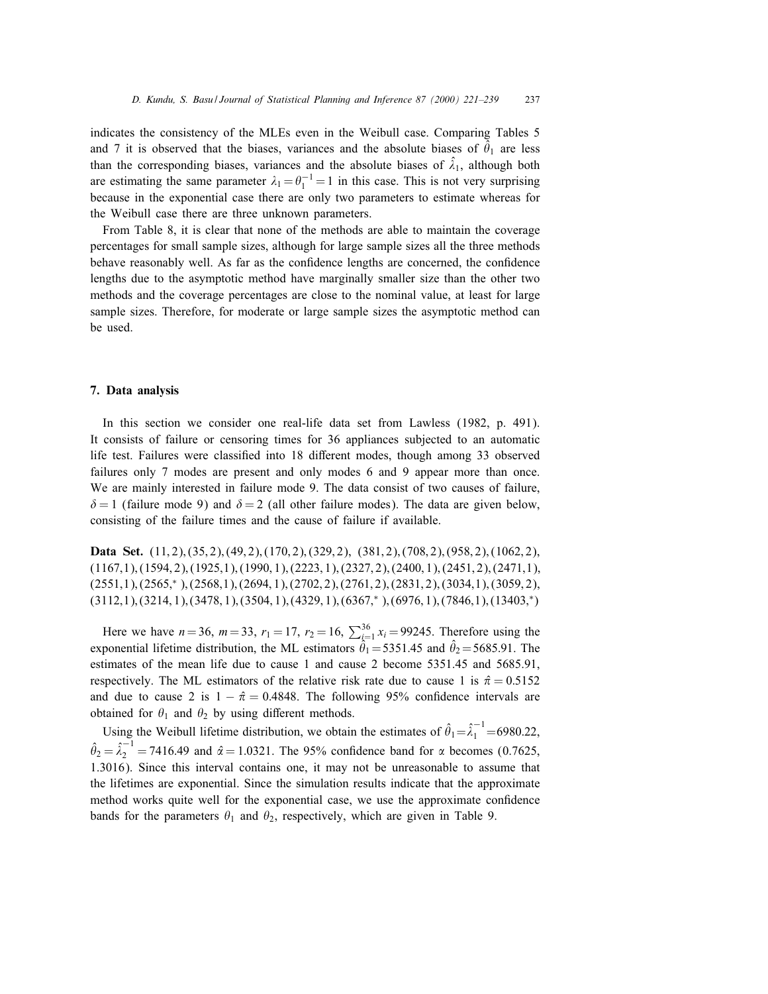indicates the consistency of the MLEs even in the Weibull case. Comparing Tables 5 and 7 it is observed that the biases, variances and the absolute biases of  $\hat{\theta}_1$  are less than the corresponding biases, variances and the absolute biases of  $\hat{\lambda}_1$ , although both are estimating the same parameter  $\lambda_1 = \theta_1^{-1} = 1$  in this case. This is not very surprising because in the exponential case there are only two parameters to estimate whereas for the Weibull case there are three unknown parameters.

From Table 8, it is clear that none of the methods are able to maintain the coverage percentages for small sample sizes, although for large sample sizes all the three methods behave reasonably well. As far as the confidence lengths are concerned, the confidence lengths due to the asymptotic method have marginally smaller size than the other two methods and the coverage percentages are close to the nominal value, at least for large sample sizes. Therefore, for moderate or large sample sizes the asymptotic method can be used.

## 7. Data analysis

In this section we consider one real-life data set from Lawless (1982, p. 491). It consists of failure or censoring times for 36 appliances subjected to an automatic life test. Failures were classified into 18 different modes, though among 33 observed failures only 7 modes are present and only modes 6 and 9 appear more than once. We are mainly interested in failure mode 9. The data consist of two causes of failure,  $\delta = 1$  (failure mode 9) and  $\delta = 2$  (all other failure modes). The data are given below, consisting of the failure times and the cause of failure if available.

Data Set.  $(11, 2), (35, 2), (49, 2), (170, 2), (329, 2), (381, 2), (708, 2), (958, 2), (1062, 2),$  $(1167,1),(1594,2),(1925,1),(1990,1),(2223,1),(2327,2),(2400,1),(2451,2),(2471,1),$  $(2551,1), (2565, *), (2568,1), (2694, 1), (2702, 2), (2761, 2), (2831, 2), (3034, 1), (3059, 2),$  $(3112,1), (3214, 1), (3478, 1), (3504, 1), (4329, 1), (6367, *), (6976, 1), (7846, 1), (13403, *)$ 

Here we have  $n = 36$ ,  $m = 33$ ,  $r_1 = 17$ ,  $r_2 = 16$ ,  $\sum_{i=1}^{36} x_i = 99245$ . Therefore using the exponential lifetime distribution, the ML estimators  $\hat{\theta}_1 = 5351.45$  and  $\hat{\theta}_2 = 5685.91$ . The estimates of the mean life due to cause 1 and cause 2 become 5351.45 and 5685.91, respectively. The ML estimators of the relative risk rate due to cause 1 is  $\hat{\pi} = 0.5152$ and due to cause 2 is  $1 - \hat{\pi} = 0.4848$ . The following 95% confidence intervals are obtained for  $\theta_1$  and  $\theta_2$  by using different methods.

Using the Weibull lifetime distribution, we obtain the estimates of  $\hat{\theta}_1 = \hat{\lambda}_1^{-1} = 6980.22$ ,  $\hat{\theta}_2 = \hat{\lambda}_2^{-1} = 7416.49$  and  $\hat{\alpha} = 1.0321$ . The 95% confidence band for  $\alpha$  becomes (0.7625, 1.3016). Since this interval contains one, it may not be unreasonable to assume that the lifetimes are exponential. Since the simulation results indicate that the approximate method works quite well for the exponential case, we use the approximate confidence bands for the parameters  $\theta_1$  and  $\theta_2$ , respectively, which are given in Table 9.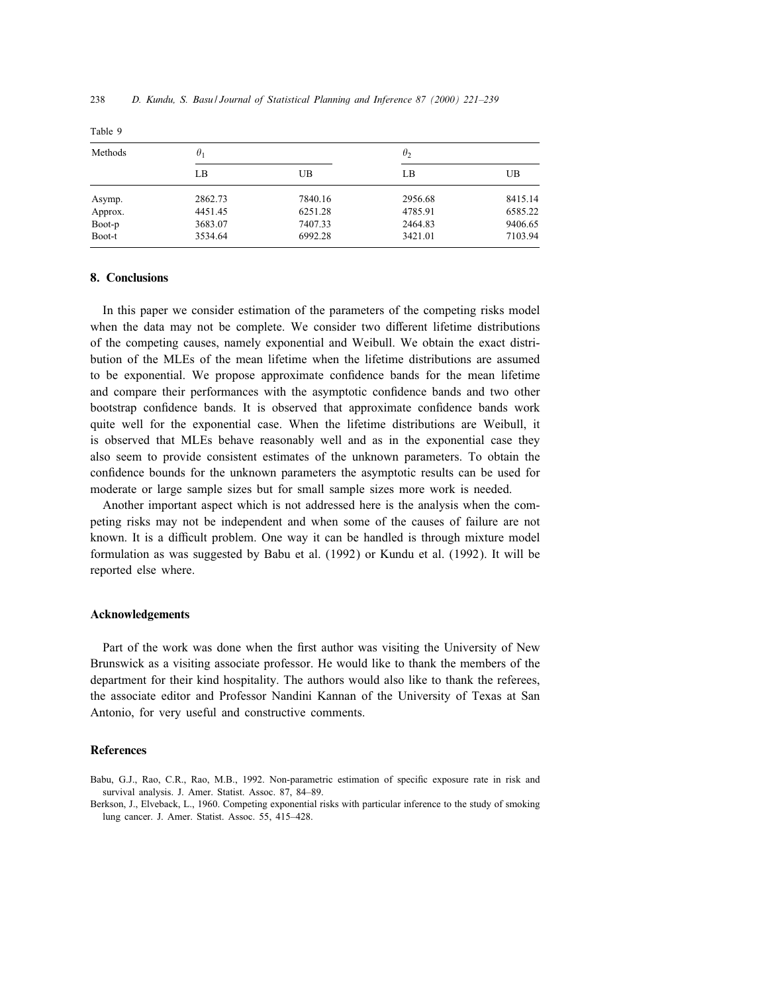| Methods | $\theta_1$ |         | $\theta_2$ |         |
|---------|------------|---------|------------|---------|
|         | LB         | UB      | LB         | UB      |
| Asymp.  | 2862.73    | 7840.16 | 2956.68    | 8415.14 |
| Approx. | 4451.45    | 6251.28 | 4785.91    | 6585.22 |
| Boot-p  | 3683.07    | 7407.33 | 2464.83    | 9406.65 |
| Boot-t  | 3534.64    | 6992.28 | 3421.01    | 7103.94 |

Table 9

# 8. Conclusions

In this paper we consider estimation of the parameters of the competing risks model when the data may not be complete. We consider two different lifetime distributions of the competing causes, namely exponential and Weibull. We obtain the exact distribution of the MLEs of the mean lifetime when the lifetime distributions are assumed to be exponential. We propose approximate condence bands for the mean lifetime and compare their performances with the asymptotic condence bands and two other bootstrap confidence bands. It is observed that approximate confidence bands work quite well for the exponential case. When the lifetime distributions are Weibull, it is observed that MLEs behave reasonably well and as in the exponential case they also seem to provide consistent estimates of the unknown parameters. To obtain the condence bounds for the unknown parameters the asymptotic results can be used for moderate or large sample sizes but for small sample sizes more work is needed.

Another important aspect which is not addressed here is the analysis when the competing risks may not be independent and when some of the causes of failure are not known. It is a difficult problem. One way it can be handled is through mixture model formulation as was suggested by Babu et al. (1992) or Kundu et al. (1992). It will be reported else where.

#### Acknowledgements

Part of the work was done when the first author was visiting the University of New Brunswick as a visiting associate professor. He would like to thank the members of the department for their kind hospitality. The authors would also like to thank the referees, the associate editor and Professor Nandini Kannan of the University of Texas at San Antonio, for very useful and constructive comments.

## References

Babu, G.J., Rao, C.R., Rao, M.B., 1992. Non-parametric estimation of specific exposure rate in risk and survival analysis. J. Amer. Statist. Assoc. 87, 84–89.

Berkson, J., Elveback, L., 1960. Competing exponential risks with particular inference to the study of smoking lung cancer. J. Amer. Statist. Assoc. 55, 415–428.